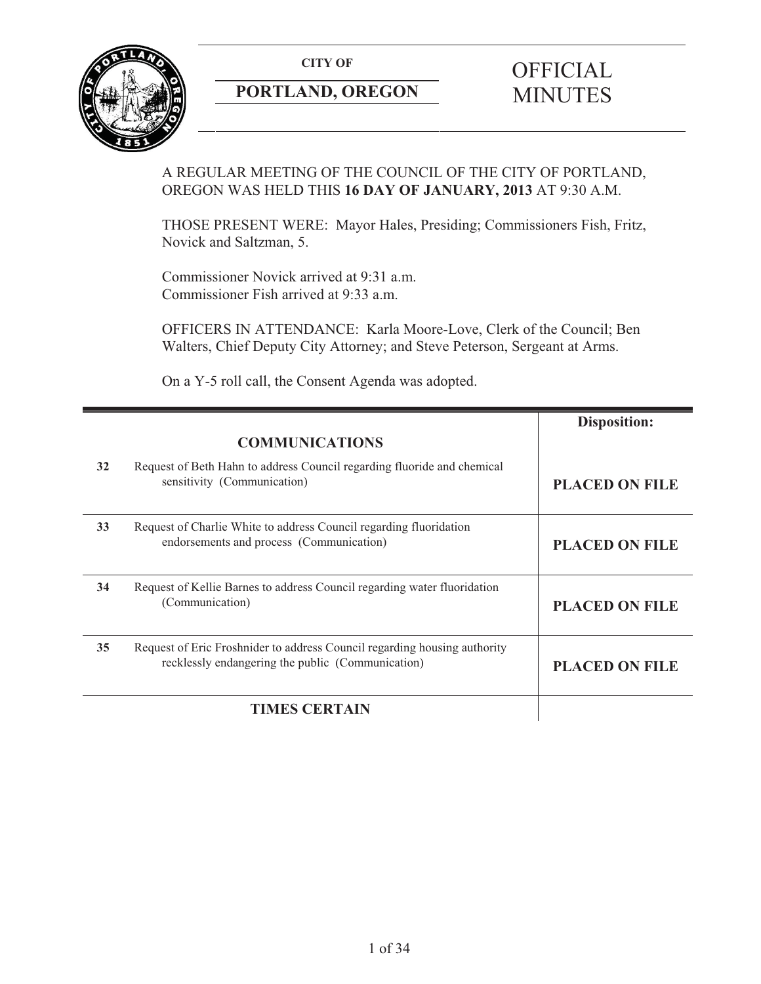**CITY OF** 



# **PORTLAND, OREGON**

# **OFFICIAL** MINUTES

# A REGULAR MEETING OF THE COUNCIL OF THE CITY OF PORTLAND, OREGON WAS HELD THIS **16 DAY OF JANUARY, 2013** AT 9:30 A.M.

THOSE PRESENT WERE: Mayor Hales, Presiding; Commissioners Fish, Fritz, Novick and Saltzman, 5.

Commissioner Novick arrived at 9:31 a.m. Commissioner Fish arrived at 9:33 a.m.

OFFICERS IN ATTENDANCE: Karla Moore-Love, Clerk of the Council; Ben Walters, Chief Deputy City Attorney; and Steve Peterson, Sergeant at Arms.

On a Y-5 roll call, the Consent Agenda was adopted.

|    |                                                                                                                                | <b>Disposition:</b>   |
|----|--------------------------------------------------------------------------------------------------------------------------------|-----------------------|
|    | <b>COMMUNICATIONS</b>                                                                                                          |                       |
| 32 | Request of Beth Hahn to address Council regarding fluoride and chemical<br>sensitivity (Communication)                         | <b>PLACED ON FILE</b> |
| 33 | Request of Charlie White to address Council regarding fluoridation<br>endorsements and process (Communication)                 | <b>PLACED ON FILE</b> |
| 34 | Request of Kellie Barnes to address Council regarding water fluoridation<br>(Communication)                                    | <b>PLACED ON FILE</b> |
| 35 | Request of Eric Froshnider to address Council regarding housing authority<br>recklessly endangering the public (Communication) | <b>PLACED ON FILE</b> |
|    | <b>TIMES CERTAIN</b>                                                                                                           |                       |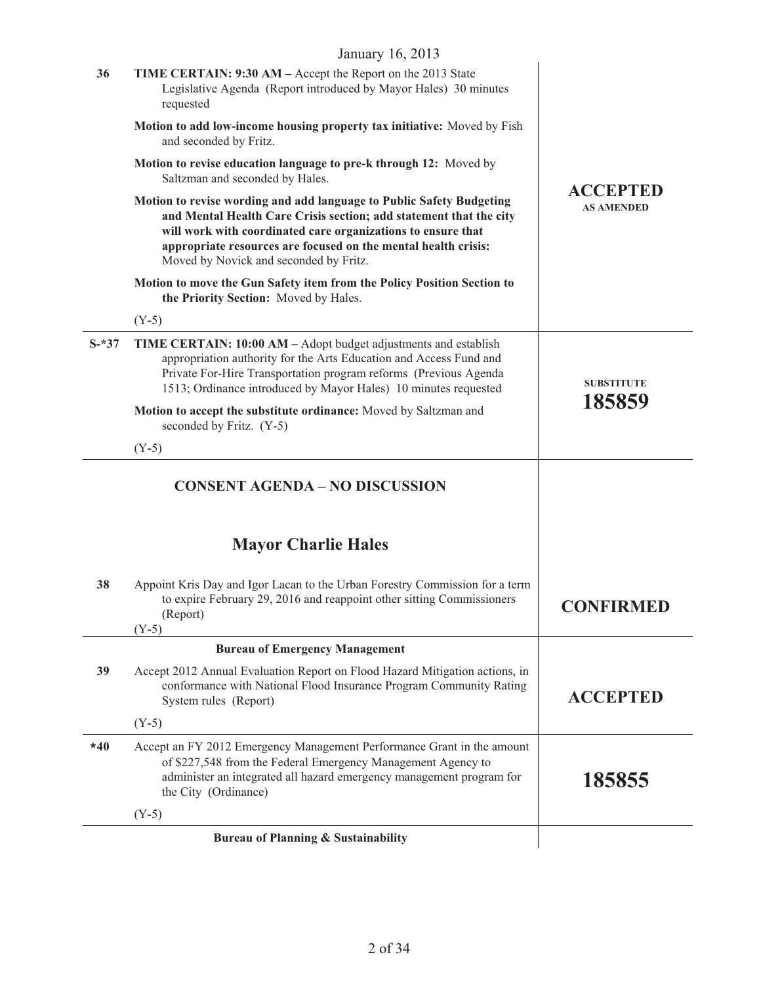|         | January 16, 2013                                                                                                                                                                                                                                                                                                       |                                      |
|---------|------------------------------------------------------------------------------------------------------------------------------------------------------------------------------------------------------------------------------------------------------------------------------------------------------------------------|--------------------------------------|
| 36      | TIME CERTAIN: 9:30 AM - Accept the Report on the 2013 State<br>Legislative Agenda (Report introduced by Mayor Hales) 30 minutes<br>requested                                                                                                                                                                           |                                      |
|         | Motion to add low-income housing property tax initiative: Moved by Fish<br>and seconded by Fritz.                                                                                                                                                                                                                      | <b>ACCEPTED</b><br><b>AS AMENDED</b> |
|         | Motion to revise education language to pre-k through 12: Moved by<br>Saltzman and seconded by Hales.                                                                                                                                                                                                                   |                                      |
|         | Motion to revise wording and add language to Public Safety Budgeting<br>and Mental Health Care Crisis section; add statement that the city<br>will work with coordinated care organizations to ensure that<br>appropriate resources are focused on the mental health crisis:<br>Moved by Novick and seconded by Fritz. |                                      |
|         | Motion to move the Gun Safety item from the Policy Position Section to<br>the Priority Section: Moved by Hales.                                                                                                                                                                                                        |                                      |
|         | $(Y-5)$                                                                                                                                                                                                                                                                                                                |                                      |
| $S-*37$ | TIME CERTAIN: 10:00 AM - Adopt budget adjustments and establish<br>appropriation authority for the Arts Education and Access Fund and<br>Private For-Hire Transportation program reforms (Previous Agenda<br>1513; Ordinance introduced by Mayor Hales) 10 minutes requested                                           | <b>SUBSTITUTE</b>                    |
|         | Motion to accept the substitute ordinance: Moved by Saltzman and<br>seconded by Fritz. (Y-5)                                                                                                                                                                                                                           | 185859                               |
|         | $(Y-5)$                                                                                                                                                                                                                                                                                                                |                                      |
|         | <b>CONSENT AGENDA - NO DISCUSSION</b>                                                                                                                                                                                                                                                                                  |                                      |
|         | <b>Mayor Charlie Hales</b>                                                                                                                                                                                                                                                                                             |                                      |
| 38      | Appoint Kris Day and Igor Lacan to the Urban Forestry Commission for a term<br>to expire February 29, 2016 and reappoint other sitting Commissioners<br>(Report)<br>$(Y-5)$                                                                                                                                            | <b>CONFIRMED</b>                     |
|         | <b>Bureau of Emergency Management</b>                                                                                                                                                                                                                                                                                  |                                      |
| 39      | Accept 2012 Annual Evaluation Report on Flood Hazard Mitigation actions, in<br>conformance with National Flood Insurance Program Community Rating<br>System rules (Report)                                                                                                                                             | <b>ACCEPTED</b>                      |
|         | $(Y-5)$                                                                                                                                                                                                                                                                                                                |                                      |
| $*40$   | Accept an FY 2012 Emergency Management Performance Grant in the amount<br>of \$227,548 from the Federal Emergency Management Agency to<br>administer an integrated all hazard emergency management program for<br>the City (Ordinance)                                                                                 | 185855                               |
|         | $(Y-5)$                                                                                                                                                                                                                                                                                                                |                                      |
|         | <b>Bureau of Planning &amp; Sustainability</b>                                                                                                                                                                                                                                                                         |                                      |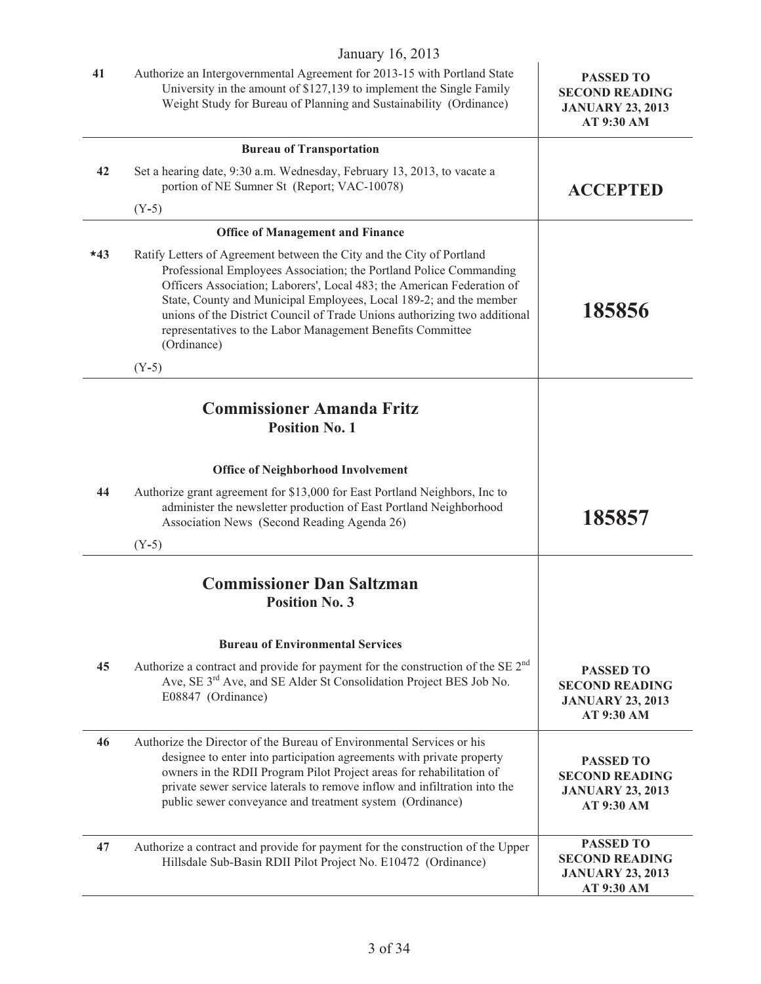#### January 16, 2013  **41** Authorize an Intergovernmental Agreement for 2013-15 with Portland State University in the amount of \$127,139 to implement the Single Family Weight Study for Bureau of Planning and Sustainability (Ordinance) **PASSED TO SECOND READING JANUARY 23, 2013 AT 9:30 AM Bureau of Transportation 42** Set a hearing date, 9:30 a.m. Wednesday, February 13, 2013, to vacate a portion of NE Sumner St (Report; VAC-10078) (Y**-**5) **ACCEPTED Office of Management and Finance \*43** Ratify Letters of Agreement between the City and the City of Portland Professional Employees Association; the Portland Police Commanding Officers Association; Laborers', Local 483; the American Federation of State, County and Municipal Employees, Local 189-2; and the member unions of the District Council of Trade Unions authorizing two additional representatives to the Labor Management Benefits Committee (Ordinance) (Y**-**5) **185856 Commissioner Amanda Fritz Position No. 1 Office of Neighborhood Involvement 44** Authorize grant agreement for \$13,000 for East Portland Neighbors, Inc to administer the newsletter production of East Portland Neighborhood Association News (Second Reading Agenda 26) (Y**-**5) **185857 Commissioner Dan Saltzman Position No. 3 Bureau of Environmental Services 45** Authorize a contract and provide for payment for the construction of the SE 2nd Ave, SE 3<sup>rd</sup> Ave, and SE Alder St Consolidation Project BES Job No. E08847 (Ordinance) **PASSED TO SECOND READING JANUARY 23, 2013 AT 9:30 AM 46** Authorize the Director of the Bureau of Environmental Services or his designee to enter into participation agreements with private property owners in the RDII Program Pilot Project areas for rehabilitation of private sewer service laterals to remove inflow and infiltration into the public sewer conveyance and treatment system (Ordinance) **PASSED TO SECOND READING JANUARY 23, 2013 AT 9:30 AM 47** Authorize a contract and provide for payment for the construction of the Upper Hillsdale Sub-Basin RDII Pilot Project No. E10472 (Ordinance) **PASSED TO SECOND READING JANUARY 23, 2013 AT 9:30 AM**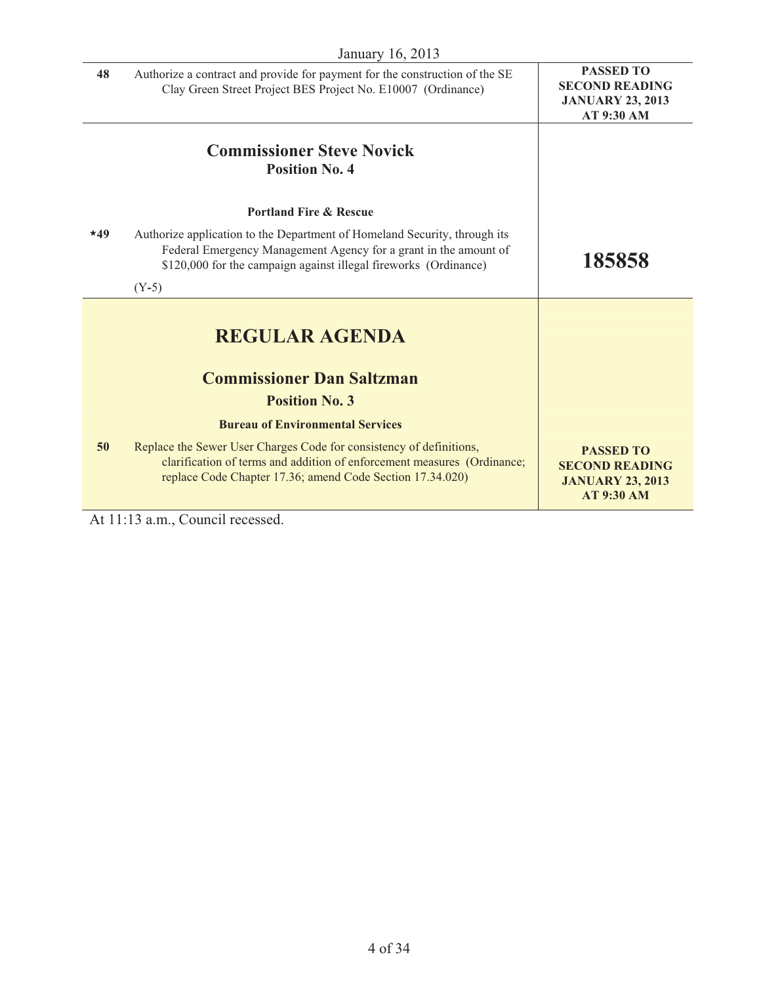|       | January 16, 2013                                                                                                                                                                                                  |                                                                                           |
|-------|-------------------------------------------------------------------------------------------------------------------------------------------------------------------------------------------------------------------|-------------------------------------------------------------------------------------------|
| 48    | Authorize a contract and provide for payment for the construction of the SE<br>Clay Green Street Project BES Project No. E10007 (Ordinance)                                                                       | <b>PASSED TO</b><br><b>SECOND READING</b><br><b>JANUARY 23, 2013</b><br>AT 9:30 AM        |
|       | <b>Commissioner Steve Novick</b><br><b>Position No. 4</b>                                                                                                                                                         |                                                                                           |
|       | <b>Portland Fire &amp; Rescue</b>                                                                                                                                                                                 |                                                                                           |
| $*49$ | Authorize application to the Department of Homeland Security, through its<br>Federal Emergency Management Agency for a grant in the amount of<br>\$120,000 for the campaign against illegal fireworks (Ordinance) | 185858                                                                                    |
|       | $(Y-5)$                                                                                                                                                                                                           |                                                                                           |
|       | <b>REGULAR AGENDA</b>                                                                                                                                                                                             |                                                                                           |
|       | <b>Commissioner Dan Saltzman</b>                                                                                                                                                                                  |                                                                                           |
|       | <b>Position No. 3</b>                                                                                                                                                                                             |                                                                                           |
|       | <b>Bureau of Environmental Services</b>                                                                                                                                                                           |                                                                                           |
| 50    | Replace the Sewer User Charges Code for consistency of definitions,<br>clarification of terms and addition of enforcement measures (Ordinance;<br>replace Code Chapter 17.36; amend Code Section 17.34.020)       | <b>PASSED TO</b><br><b>SECOND READING</b><br><b>JANUARY 23, 2013</b><br><b>AT 9:30 AM</b> |

At 11:13 a.m., Council recessed.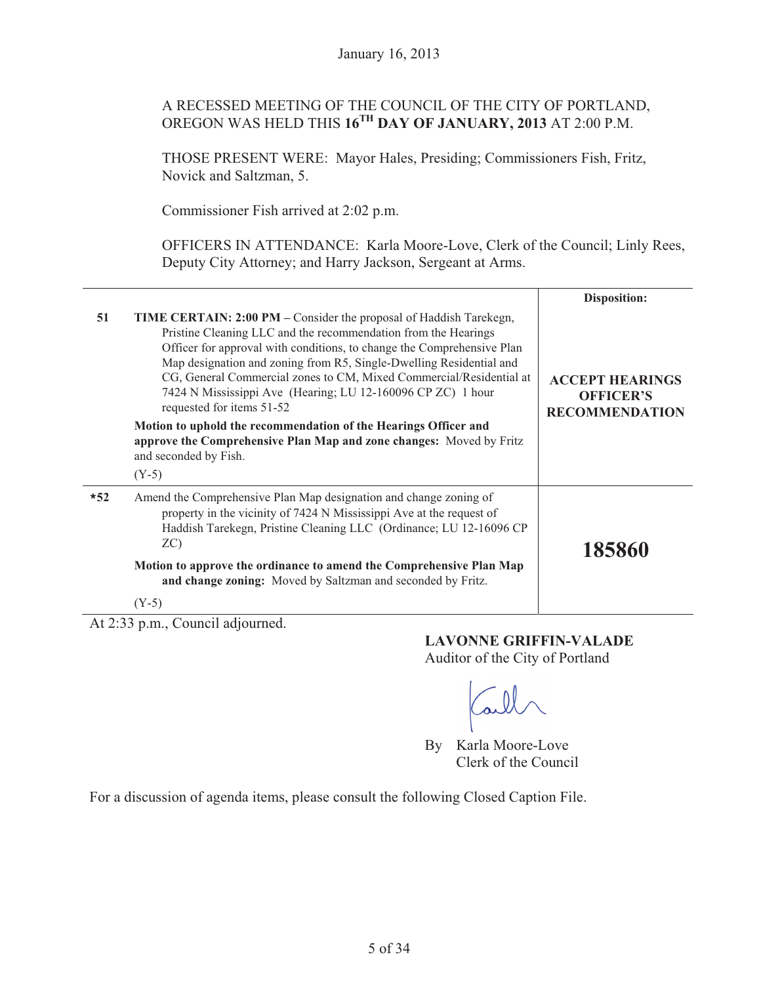# A RECESSED MEETING OF THE COUNCIL OF THE CITY OF PORTLAND, OREGON WAS HELD THIS **16TH DAY OF JANUARY, 2013** AT 2:00 P.M.

THOSE PRESENT WERE: Mayor Hales, Presiding; Commissioners Fish, Fritz, Novick and Saltzman, 5.

Commissioner Fish arrived at 2:02 p.m.

OFFICERS IN ATTENDANCE: Karla Moore-Love, Clerk of the Council; Linly Rees, Deputy City Attorney; and Harry Jackson, Sergeant at Arms.

|       |                                                                                                                                                                                                                                                                                                                                                                                                                                                                                                                                                                                                                             | <b>Disposition:</b>                                                 |
|-------|-----------------------------------------------------------------------------------------------------------------------------------------------------------------------------------------------------------------------------------------------------------------------------------------------------------------------------------------------------------------------------------------------------------------------------------------------------------------------------------------------------------------------------------------------------------------------------------------------------------------------------|---------------------------------------------------------------------|
| 51    | TIME CERTAIN: 2:00 PM - Consider the proposal of Haddish Tarekegn,<br>Pristine Cleaning LLC and the recommendation from the Hearings<br>Officer for approval with conditions, to change the Comprehensive Plan<br>Map designation and zoning from R5, Single-Dwelling Residential and<br>CG, General Commercial zones to CM, Mixed Commercial/Residential at<br>7424 N Mississippi Ave (Hearing; LU 12-160096 CP ZC) 1 hour<br>requested for items 51-52<br>Motion to uphold the recommendation of the Hearings Officer and<br>approve the Comprehensive Plan Map and zone changes: Moved by Fritz<br>and seconded by Fish. | <b>ACCEPT HEARINGS</b><br><b>OFFICER'S</b><br><b>RECOMMENDATION</b> |
|       | $(Y-5)$                                                                                                                                                                                                                                                                                                                                                                                                                                                                                                                                                                                                                     |                                                                     |
| $*52$ | Amend the Comprehensive Plan Map designation and change zoning of<br>property in the vicinity of 7424 N Mississippi Ave at the request of<br>Haddish Tarekegn, Pristine Cleaning LLC (Ordinance; LU 12-16096 CP)<br>ZC                                                                                                                                                                                                                                                                                                                                                                                                      | 185860                                                              |
|       | Motion to approve the ordinance to amend the Comprehensive Plan Map<br>and change zoning: Moved by Saltzman and seconded by Fritz.                                                                                                                                                                                                                                                                                                                                                                                                                                                                                          |                                                                     |
|       | $(Y-5)$                                                                                                                                                                                                                                                                                                                                                                                                                                                                                                                                                                                                                     |                                                                     |

At 2:33 p.m., Council adjourned.

#### **LAVONNE GRIFFIN-VALADE**

Auditor of the City of Portland

By Karla Moore-Love Clerk of the Council

For a discussion of agenda items, please consult the following Closed Caption File.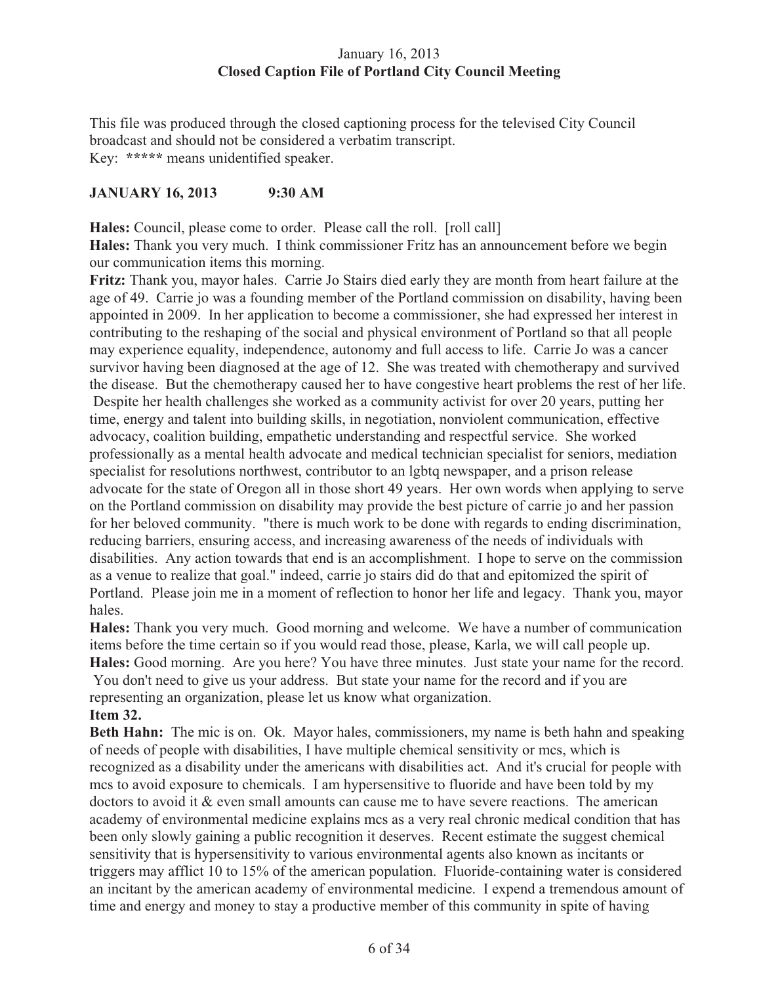# January 16, 2013 **Closed Caption File of Portland City Council Meeting**

This file was produced through the closed captioning process for the televised City Council broadcast and should not be considered a verbatim transcript. Key: **\*\*\*\*\*** means unidentified speaker.

# **JANUARY 16, 2013 9:30 AM**

**Hales:** Council, please come to order. Please call the roll. [roll call] **Hales:** Thank you very much. I think commissioner Fritz has an announcement before we begin our communication items this morning.

**Fritz:** Thank you, mayor hales. Carrie Jo Stairs died early they are month from heart failure at the age of 49. Carrie jo was a founding member of the Portland commission on disability, having been appointed in 2009. In her application to become a commissioner, she had expressed her interest in contributing to the reshaping of the social and physical environment of Portland so that all people may experience equality, independence, autonomy and full access to life. Carrie Jo was a cancer survivor having been diagnosed at the age of 12. She was treated with chemotherapy and survived the disease. But the chemotherapy caused her to have congestive heart problems the rest of her life. Despite her health challenges she worked as a community activist for over 20 years, putting her time, energy and talent into building skills, in negotiation, nonviolent communication, effective advocacy, coalition building, empathetic understanding and respectful service. She worked professionally as a mental health advocate and medical technician specialist for seniors, mediation specialist for resolutions northwest, contributor to an lgbtq newspaper, and a prison release advocate for the state of Oregon all in those short 49 years. Her own words when applying to serve on the Portland commission on disability may provide the best picture of carrie jo and her passion for her beloved community. "there is much work to be done with regards to ending discrimination, reducing barriers, ensuring access, and increasing awareness of the needs of individuals with disabilities. Any action towards that end is an accomplishment. I hope to serve on the commission as a venue to realize that goal." indeed, carrie jo stairs did do that and epitomized the spirit of Portland. Please join me in a moment of reflection to honor her life and legacy. Thank you, mayor hales.

**Hales:** Thank you very much. Good morning and welcome. We have a number of communication items before the time certain so if you would read those, please, Karla, we will call people up. **Hales:** Good morning. Are you here? You have three minutes. Just state your name for the record. You don't need to give us your address. But state your name for the record and if you are representing an organization, please let us know what organization.

# **Item 32.**

**Beth Hahn:** The mic is on. Ok. Mayor hales, commissioners, my name is beth hahn and speaking of needs of people with disabilities, I have multiple chemical sensitivity or mcs, which is recognized as a disability under the americans with disabilities act. And it's crucial for people with mcs to avoid exposure to chemicals. I am hypersensitive to fluoride and have been told by my doctors to avoid it & even small amounts can cause me to have severe reactions. The american academy of environmental medicine explains mcs as a very real chronic medical condition that has been only slowly gaining a public recognition it deserves. Recent estimate the suggest chemical sensitivity that is hypersensitivity to various environmental agents also known as incitants or triggers may afflict 10 to 15% of the american population. Fluoride-containing water is considered an incitant by the american academy of environmental medicine. I expend a tremendous amount of time and energy and money to stay a productive member of this community in spite of having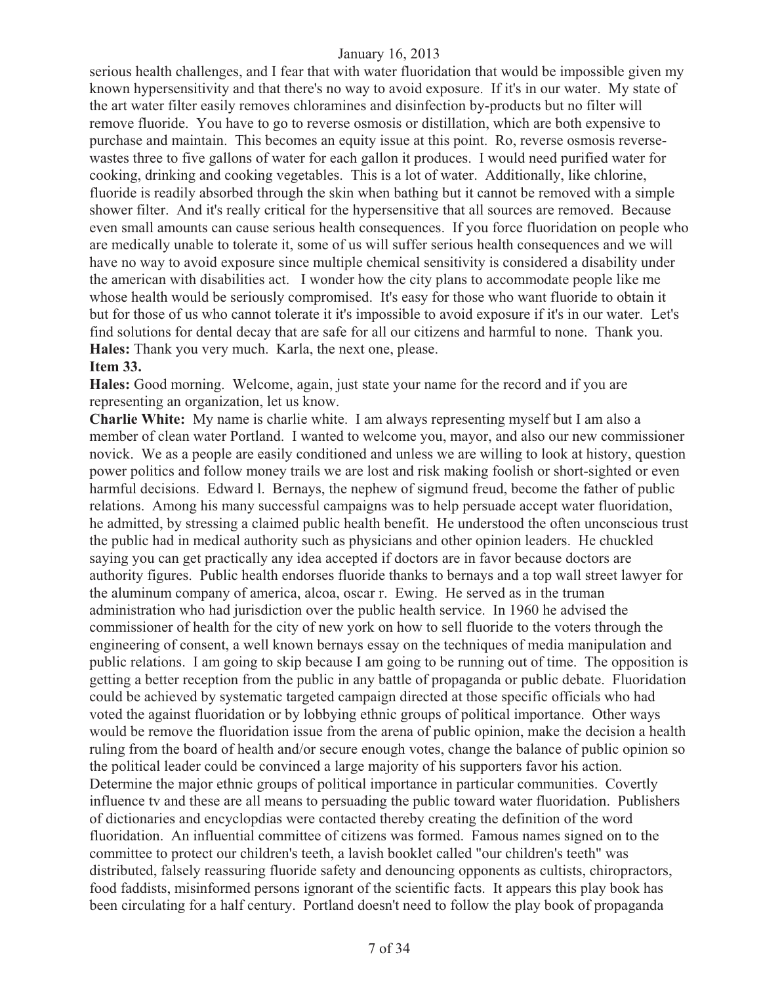serious health challenges, and I fear that with water fluoridation that would be impossible given my known hypersensitivity and that there's no way to avoid exposure. If it's in our water. My state of the art water filter easily removes chloramines and disinfection by-products but no filter will remove fluoride. You have to go to reverse osmosis or distillation, which are both expensive to purchase and maintain. This becomes an equity issue at this point. Ro, reverse osmosis reversewastes three to five gallons of water for each gallon it produces. I would need purified water for cooking, drinking and cooking vegetables. This is a lot of water. Additionally, like chlorine, fluoride is readily absorbed through the skin when bathing but it cannot be removed with a simple shower filter. And it's really critical for the hypersensitive that all sources are removed. Because even small amounts can cause serious health consequences. If you force fluoridation on people who are medically unable to tolerate it, some of us will suffer serious health consequences and we will have no way to avoid exposure since multiple chemical sensitivity is considered a disability under the american with disabilities act. I wonder how the city plans to accommodate people like me whose health would be seriously compromised. It's easy for those who want fluoride to obtain it but for those of us who cannot tolerate it it's impossible to avoid exposure if it's in our water. Let's find solutions for dental decay that are safe for all our citizens and harmful to none. Thank you. **Hales:** Thank you very much. Karla, the next one, please.

#### **Item 33.**

**Hales:** Good morning. Welcome, again, just state your name for the record and if you are representing an organization, let us know.

**Charlie White:** My name is charlie white. I am always representing myself but I am also a member of clean water Portland. I wanted to welcome you, mayor, and also our new commissioner novick. We as a people are easily conditioned and unless we are willing to look at history, question power politics and follow money trails we are lost and risk making foolish or short-sighted or even harmful decisions. Edward l. Bernays, the nephew of sigmund freud, become the father of public relations. Among his many successful campaigns was to help persuade accept water fluoridation, he admitted, by stressing a claimed public health benefit. He understood the often unconscious trust the public had in medical authority such as physicians and other opinion leaders. He chuckled saying you can get practically any idea accepted if doctors are in favor because doctors are authority figures. Public health endorses fluoride thanks to bernays and a top wall street lawyer for the aluminum company of america, alcoa, oscar r. Ewing. He served as in the truman administration who had jurisdiction over the public health service. In 1960 he advised the commissioner of health for the city of new york on how to sell fluoride to the voters through the engineering of consent, a well known bernays essay on the techniques of media manipulation and public relations. I am going to skip because I am going to be running out of time. The opposition is getting a better reception from the public in any battle of propaganda or public debate. Fluoridation could be achieved by systematic targeted campaign directed at those specific officials who had voted the against fluoridation or by lobbying ethnic groups of political importance. Other ways would be remove the fluoridation issue from the arena of public opinion, make the decision a health ruling from the board of health and/or secure enough votes, change the balance of public opinion so the political leader could be convinced a large majority of his supporters favor his action. Determine the major ethnic groups of political importance in particular communities. Covertly influence tv and these are all means to persuading the public toward water fluoridation. Publishers of dictionaries and encyclopdias were contacted thereby creating the definition of the word fluoridation. An influential committee of citizens was formed. Famous names signed on to the committee to protect our children's teeth, a lavish booklet called "our children's teeth" was distributed, falsely reassuring fluoride safety and denouncing opponents as cultists, chiropractors, food faddists, misinformed persons ignorant of the scientific facts. It appears this play book has been circulating for a half century. Portland doesn't need to follow the play book of propaganda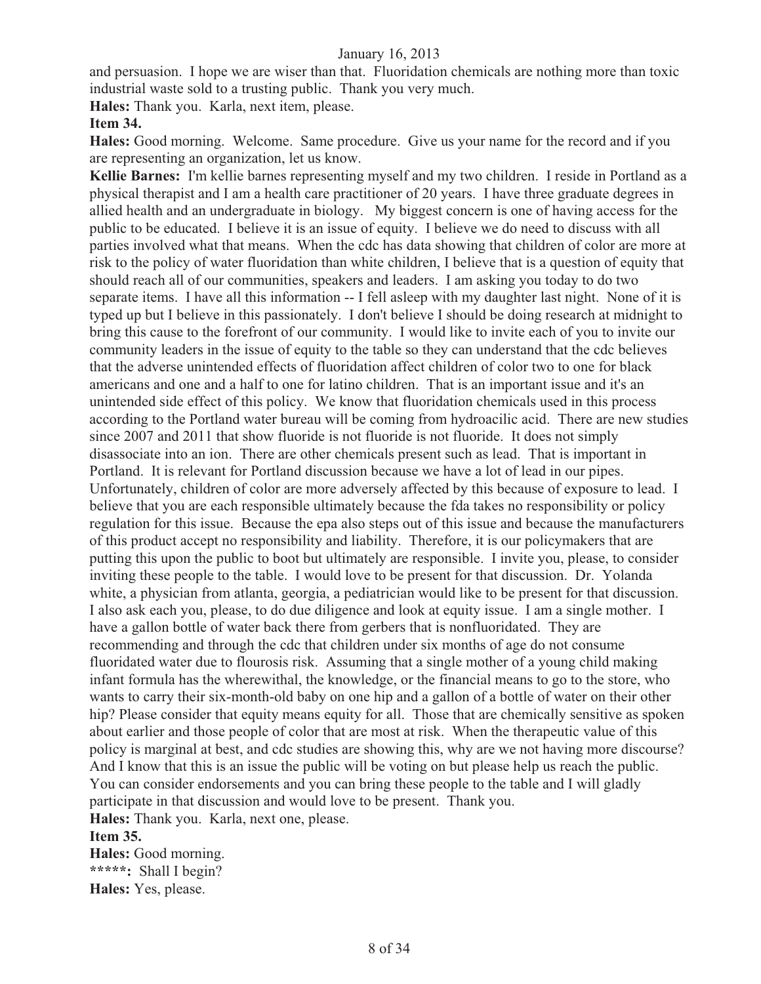and persuasion. I hope we are wiser than that. Fluoridation chemicals are nothing more than toxic industrial waste sold to a trusting public. Thank you very much.

**Hales:** Thank you. Karla, next item, please.

#### **Item 34.**

**Hales:** Good morning. Welcome. Same procedure. Give us your name for the record and if you are representing an organization, let us know.

**Kellie Barnes:** I'm kellie barnes representing myself and my two children. I reside in Portland as a physical therapist and I am a health care practitioner of 20 years. I have three graduate degrees in allied health and an undergraduate in biology. My biggest concern is one of having access for the public to be educated. I believe it is an issue of equity. I believe we do need to discuss with all parties involved what that means. When the cdc has data showing that children of color are more at risk to the policy of water fluoridation than white children, I believe that is a question of equity that should reach all of our communities, speakers and leaders. I am asking you today to do two separate items. I have all this information -- I fell asleep with my daughter last night. None of it is typed up but I believe in this passionately. I don't believe I should be doing research at midnight to bring this cause to the forefront of our community. I would like to invite each of you to invite our community leaders in the issue of equity to the table so they can understand that the cdc believes that the adverse unintended effects of fluoridation affect children of color two to one for black americans and one and a half to one for latino children. That is an important issue and it's an unintended side effect of this policy. We know that fluoridation chemicals used in this process according to the Portland water bureau will be coming from hydroacilic acid. There are new studies since 2007 and 2011 that show fluoride is not fluoride is not fluoride. It does not simply disassociate into an ion. There are other chemicals present such as lead. That is important in Portland. It is relevant for Portland discussion because we have a lot of lead in our pipes. Unfortunately, children of color are more adversely affected by this because of exposure to lead. I believe that you are each responsible ultimately because the fda takes no responsibility or policy regulation for this issue. Because the epa also steps out of this issue and because the manufacturers of this product accept no responsibility and liability. Therefore, it is our policymakers that are putting this upon the public to boot but ultimately are responsible. I invite you, please, to consider inviting these people to the table. I would love to be present for that discussion. Dr. Yolanda white, a physician from atlanta, georgia, a pediatrician would like to be present for that discussion. I also ask each you, please, to do due diligence and look at equity issue. I am a single mother. I have a gallon bottle of water back there from gerbers that is nonfluoridated. They are recommending and through the cdc that children under six months of age do not consume fluoridated water due to flourosis risk. Assuming that a single mother of a young child making infant formula has the wherewithal, the knowledge, or the financial means to go to the store, who wants to carry their six-month-old baby on one hip and a gallon of a bottle of water on their other hip? Please consider that equity means equity for all. Those that are chemically sensitive as spoken about earlier and those people of color that are most at risk. When the therapeutic value of this policy is marginal at best, and cdc studies are showing this, why are we not having more discourse? And I know that this is an issue the public will be voting on but please help us reach the public. You can consider endorsements and you can bring these people to the table and I will gladly participate in that discussion and would love to be present. Thank you.

# **Hales:** Thank you. Karla, next one, please.

#### **Item 35.**

**Hales:** Good morning. **\*\*\*\*\*:** Shall I begin? **Hales:** Yes, please.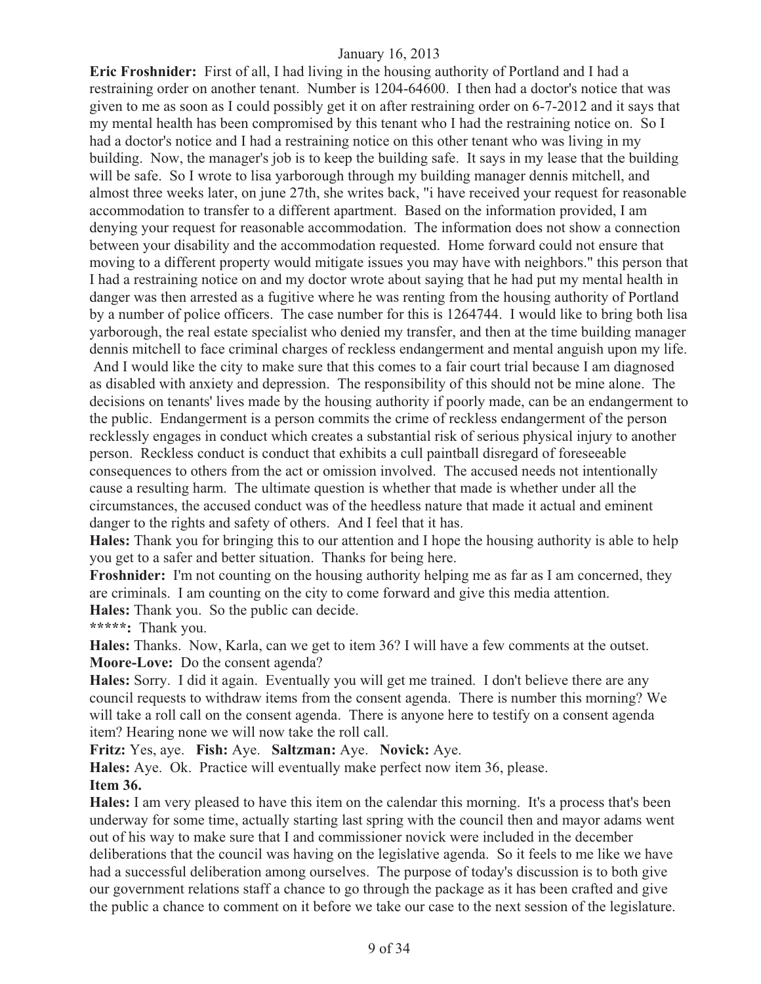**Eric Froshnider:** First of all, I had living in the housing authority of Portland and I had a restraining order on another tenant. Number is 1204-64600. I then had a doctor's notice that was given to me as soon as I could possibly get it on after restraining order on 6-7-2012 and it says that my mental health has been compromised by this tenant who I had the restraining notice on. So I had a doctor's notice and I had a restraining notice on this other tenant who was living in my building. Now, the manager's job is to keep the building safe. It says in my lease that the building will be safe. So I wrote to lisa yarborough through my building manager dennis mitchell, and almost three weeks later, on june 27th, she writes back, "i have received your request for reasonable accommodation to transfer to a different apartment. Based on the information provided, I am denying your request for reasonable accommodation. The information does not show a connection between your disability and the accommodation requested. Home forward could not ensure that moving to a different property would mitigate issues you may have with neighbors." this person that I had a restraining notice on and my doctor wrote about saying that he had put my mental health in danger was then arrested as a fugitive where he was renting from the housing authority of Portland by a number of police officers. The case number for this is 1264744. I would like to bring both lisa yarborough, the real estate specialist who denied my transfer, and then at the time building manager dennis mitchell to face criminal charges of reckless endangerment and mental anguish upon my life. And I would like the city to make sure that this comes to a fair court trial because I am diagnosed as disabled with anxiety and depression. The responsibility of this should not be mine alone. The decisions on tenants' lives made by the housing authority if poorly made, can be an endangerment to the public. Endangerment is a person commits the crime of reckless endangerment of the person recklessly engages in conduct which creates a substantial risk of serious physical injury to another person. Reckless conduct is conduct that exhibits a cull paintball disregard of foreseeable consequences to others from the act or omission involved. The accused needs not intentionally cause a resulting harm. The ultimate question is whether that made is whether under all the circumstances, the accused conduct was of the heedless nature that made it actual and eminent danger to the rights and safety of others. And I feel that it has.

**Hales:** Thank you for bringing this to our attention and I hope the housing authority is able to help you get to a safer and better situation. Thanks for being here.

**Froshnider:** I'm not counting on the housing authority helping me as far as I am concerned, they are criminals. I am counting on the city to come forward and give this media attention. **Hales:** Thank you. So the public can decide.

**\*\*\*\*\*:** Thank you.

**Hales:** Thanks. Now, Karla, can we get to item 36? I will have a few comments at the outset. **Moore-Love:** Do the consent agenda?

**Hales:** Sorry. I did it again. Eventually you will get me trained. I don't believe there are any council requests to withdraw items from the consent agenda. There is number this morning? We will take a roll call on the consent agenda. There is anyone here to testify on a consent agenda item? Hearing none we will now take the roll call.

**Fritz:** Yes, aye. **Fish:** Aye. **Saltzman:** Aye. **Novick:** Aye.

**Hales:** Aye. Ok. Practice will eventually make perfect now item 36, please. **Item 36.**

**Hales:** I am very pleased to have this item on the calendar this morning. It's a process that's been underway for some time, actually starting last spring with the council then and mayor adams went out of his way to make sure that I and commissioner novick were included in the december deliberations that the council was having on the legislative agenda. So it feels to me like we have had a successful deliberation among ourselves. The purpose of today's discussion is to both give our government relations staff a chance to go through the package as it has been crafted and give the public a chance to comment on it before we take our case to the next session of the legislature.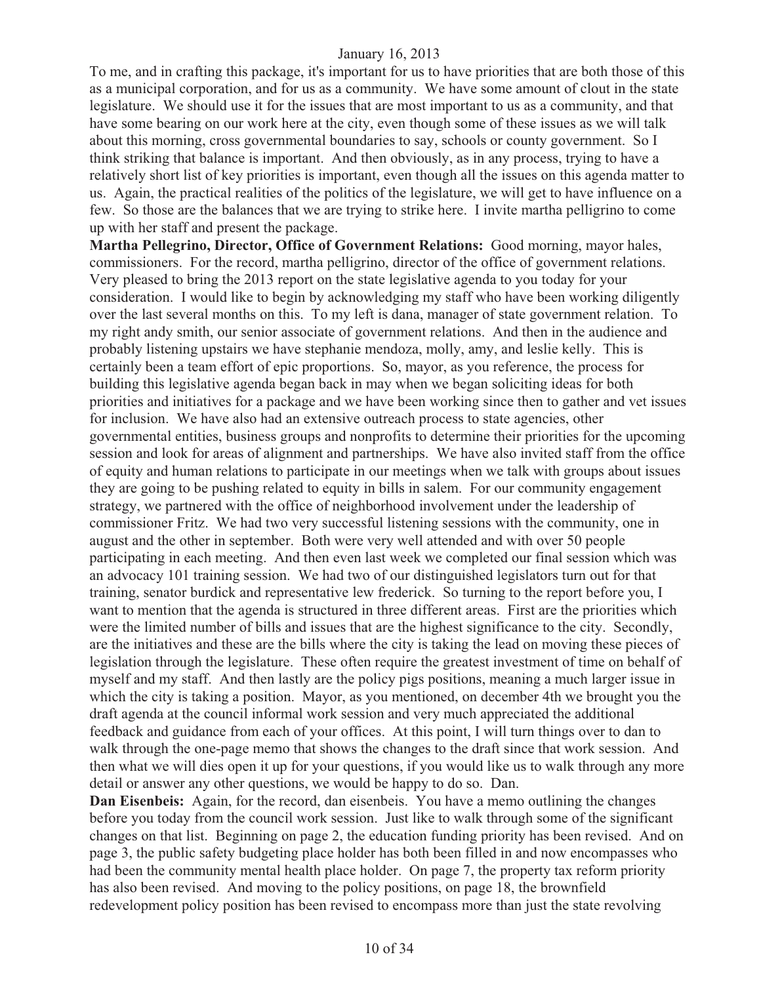To me, and in crafting this package, it's important for us to have priorities that are both those of this as a municipal corporation, and for us as a community. We have some amount of clout in the state legislature. We should use it for the issues that are most important to us as a community, and that have some bearing on our work here at the city, even though some of these issues as we will talk about this morning, cross governmental boundaries to say, schools or county government. So I think striking that balance is important. And then obviously, as in any process, trying to have a relatively short list of key priorities is important, even though all the issues on this agenda matter to us. Again, the practical realities of the politics of the legislature, we will get to have influence on a few. So those are the balances that we are trying to strike here. I invite martha pelligrino to come up with her staff and present the package.

**Martha Pellegrino, Director, Office of Government Relations:** Good morning, mayor hales, commissioners. For the record, martha pelligrino, director of the office of government relations. Very pleased to bring the 2013 report on the state legislative agenda to you today for your consideration. I would like to begin by acknowledging my staff who have been working diligently over the last several months on this. To my left is dana, manager of state government relation. To my right andy smith, our senior associate of government relations. And then in the audience and probably listening upstairs we have stephanie mendoza, molly, amy, and leslie kelly. This is certainly been a team effort of epic proportions. So, mayor, as you reference, the process for building this legislative agenda began back in may when we began soliciting ideas for both priorities and initiatives for a package and we have been working since then to gather and vet issues for inclusion. We have also had an extensive outreach process to state agencies, other governmental entities, business groups and nonprofits to determine their priorities for the upcoming session and look for areas of alignment and partnerships. We have also invited staff from the office of equity and human relations to participate in our meetings when we talk with groups about issues they are going to be pushing related to equity in bills in salem. For our community engagement strategy, we partnered with the office of neighborhood involvement under the leadership of commissioner Fritz. We had two very successful listening sessions with the community, one in august and the other in september. Both were very well attended and with over 50 people participating in each meeting. And then even last week we completed our final session which was an advocacy 101 training session. We had two of our distinguished legislators turn out for that training, senator burdick and representative lew frederick. So turning to the report before you, I want to mention that the agenda is structured in three different areas. First are the priorities which were the limited number of bills and issues that are the highest significance to the city. Secondly, are the initiatives and these are the bills where the city is taking the lead on moving these pieces of legislation through the legislature. These often require the greatest investment of time on behalf of myself and my staff. And then lastly are the policy pigs positions, meaning a much larger issue in which the city is taking a position. Mayor, as you mentioned, on december 4th we brought you the draft agenda at the council informal work session and very much appreciated the additional feedback and guidance from each of your offices. At this point, I will turn things over to dan to walk through the one-page memo that shows the changes to the draft since that work session. And then what we will dies open it up for your questions, if you would like us to walk through any more detail or answer any other questions, we would be happy to do so. Dan.

**Dan Eisenbeis:** Again, for the record, dan eisenbeis. You have a memo outlining the changes before you today from the council work session. Just like to walk through some of the significant changes on that list. Beginning on page 2, the education funding priority has been revised. And on page 3, the public safety budgeting place holder has both been filled in and now encompasses who had been the community mental health place holder. On page 7, the property tax reform priority has also been revised. And moving to the policy positions, on page 18, the brownfield redevelopment policy position has been revised to encompass more than just the state revolving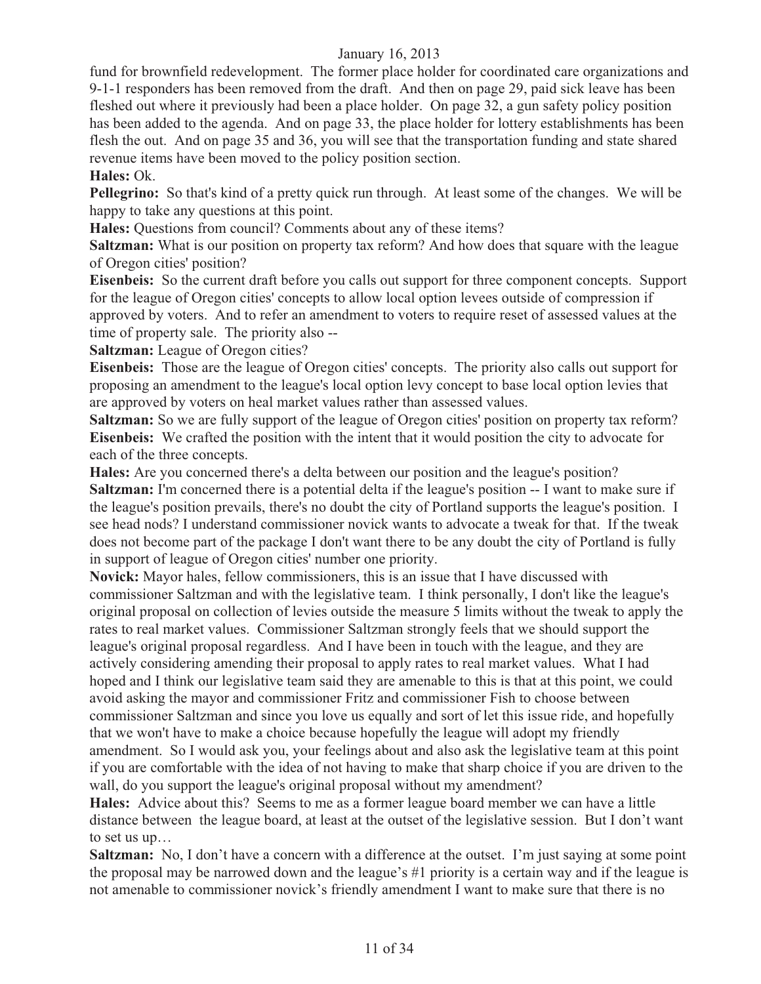fund for brownfield redevelopment. The former place holder for coordinated care organizations and 9-1-1 responders has been removed from the draft. And then on page 29, paid sick leave has been fleshed out where it previously had been a place holder. On page 32, a gun safety policy position has been added to the agenda. And on page 33, the place holder for lottery establishments has been flesh the out. And on page 35 and 36, you will see that the transportation funding and state shared revenue items have been moved to the policy position section.

#### **Hales:** Ok.

**Pellegrino:** So that's kind of a pretty quick run through. At least some of the changes. We will be happy to take any questions at this point.

**Hales:** Questions from council? Comments about any of these items?

**Saltzman:** What is our position on property tax reform? And how does that square with the league of Oregon cities' position?

**Eisenbeis:** So the current draft before you calls out support for three component concepts. Support for the league of Oregon cities' concepts to allow local option levees outside of compression if approved by voters. And to refer an amendment to voters to require reset of assessed values at the time of property sale. The priority also --

**Saltzman:** League of Oregon cities?

**Eisenbeis:** Those are the league of Oregon cities' concepts. The priority also calls out support for proposing an amendment to the league's local option levy concept to base local option levies that are approved by voters on heal market values rather than assessed values.

**Saltzman:** So we are fully support of the league of Oregon cities' position on property tax reform? **Eisenbeis:** We crafted the position with the intent that it would position the city to advocate for each of the three concepts.

**Hales:** Are you concerned there's a delta between our position and the league's position?

**Saltzman:** I'm concerned there is a potential delta if the league's position -- I want to make sure if the league's position prevails, there's no doubt the city of Portland supports the league's position. I see head nods? I understand commissioner novick wants to advocate a tweak for that. If the tweak does not become part of the package I don't want there to be any doubt the city of Portland is fully in support of league of Oregon cities' number one priority.

**Novick:** Mayor hales, fellow commissioners, this is an issue that I have discussed with commissioner Saltzman and with the legislative team. I think personally, I don't like the league's original proposal on collection of levies outside the measure 5 limits without the tweak to apply the rates to real market values. Commissioner Saltzman strongly feels that we should support the league's original proposal regardless. And I have been in touch with the league, and they are actively considering amending their proposal to apply rates to real market values. What I had hoped and I think our legislative team said they are amenable to this is that at this point, we could avoid asking the mayor and commissioner Fritz and commissioner Fish to choose between commissioner Saltzman and since you love us equally and sort of let this issue ride, and hopefully that we won't have to make a choice because hopefully the league will adopt my friendly amendment. So I would ask you, your feelings about and also ask the legislative team at this point if you are comfortable with the idea of not having to make that sharp choice if you are driven to the wall, do you support the league's original proposal without my amendment?

**Hales:** Advice about this? Seems to me as a former league board member we can have a little distance between the league board, at least at the outset of the legislative session. But I don't want to set us up…

**Saltzman:** No, I don't have a concern with a difference at the outset. I'm just saying at some point the proposal may be narrowed down and the league's #1 priority is a certain way and if the league is not amenable to commissioner novick's friendly amendment I want to make sure that there is no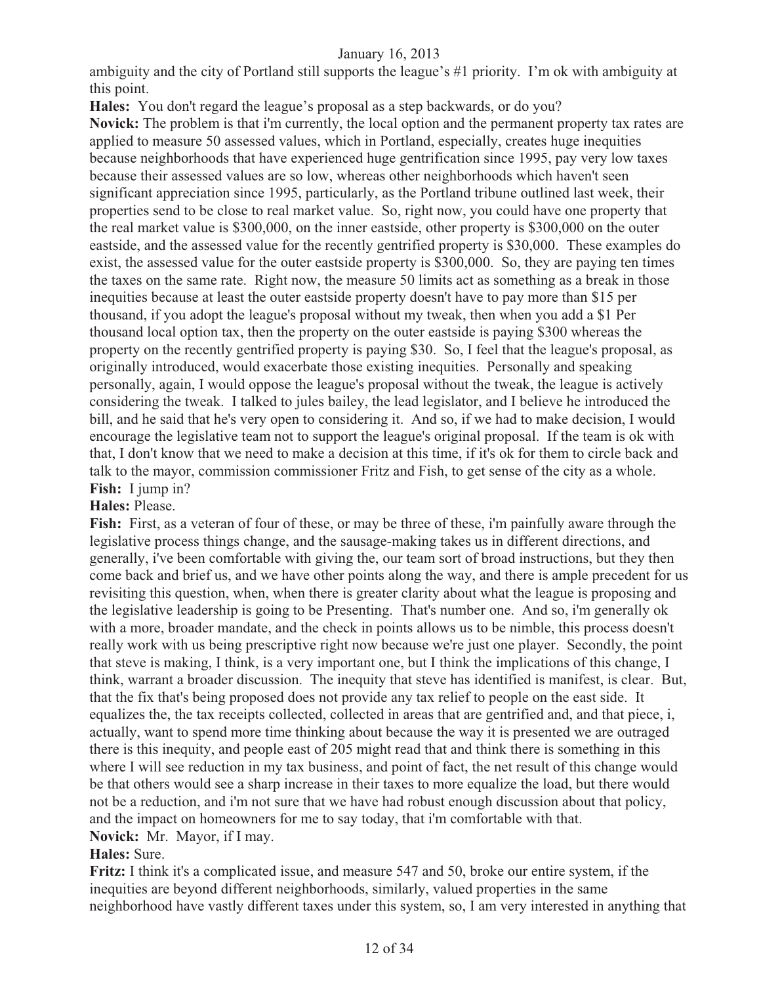ambiguity and the city of Portland still supports the league's #1 priority. I'm ok with ambiguity at this point.

**Hales:** You don't regard the league's proposal as a step backwards, or do you?

**Novick:** The problem is that i'm currently, the local option and the permanent property tax rates are applied to measure 50 assessed values, which in Portland, especially, creates huge inequities because neighborhoods that have experienced huge gentrification since 1995, pay very low taxes because their assessed values are so low, whereas other neighborhoods which haven't seen significant appreciation since 1995, particularly, as the Portland tribune outlined last week, their properties send to be close to real market value. So, right now, you could have one property that the real market value is \$300,000, on the inner eastside, other property is \$300,000 on the outer eastside, and the assessed value for the recently gentrified property is \$30,000. These examples do exist, the assessed value for the outer eastside property is \$300,000. So, they are paying ten times the taxes on the same rate. Right now, the measure 50 limits act as something as a break in those inequities because at least the outer eastside property doesn't have to pay more than \$15 per thousand, if you adopt the league's proposal without my tweak, then when you add a \$1 Per thousand local option tax, then the property on the outer eastside is paying \$300 whereas the property on the recently gentrified property is paying \$30. So, I feel that the league's proposal, as originally introduced, would exacerbate those existing inequities. Personally and speaking personally, again, I would oppose the league's proposal without the tweak, the league is actively considering the tweak. I talked to jules bailey, the lead legislator, and I believe he introduced the bill, and he said that he's very open to considering it. And so, if we had to make decision, I would encourage the legislative team not to support the league's original proposal. If the team is ok with that, I don't know that we need to make a decision at this time, if it's ok for them to circle back and talk to the mayor, commission commissioner Fritz and Fish, to get sense of the city as a whole. **Fish:** I jump in?

#### **Hales:** Please.

**Fish:** First, as a veteran of four of these, or may be three of these, i'm painfully aware through the legislative process things change, and the sausage-making takes us in different directions, and generally, i've been comfortable with giving the, our team sort of broad instructions, but they then come back and brief us, and we have other points along the way, and there is ample precedent for us revisiting this question, when, when there is greater clarity about what the league is proposing and the legislative leadership is going to be Presenting. That's number one. And so, i'm generally ok with a more, broader mandate, and the check in points allows us to be nimble, this process doesn't really work with us being prescriptive right now because we're just one player. Secondly, the point that steve is making, I think, is a very important one, but I think the implications of this change, I think, warrant a broader discussion. The inequity that steve has identified is manifest, is clear. But, that the fix that's being proposed does not provide any tax relief to people on the east side. It equalizes the, the tax receipts collected, collected in areas that are gentrified and, and that piece, i, actually, want to spend more time thinking about because the way it is presented we are outraged there is this inequity, and people east of 205 might read that and think there is something in this where I will see reduction in my tax business, and point of fact, the net result of this change would be that others would see a sharp increase in their taxes to more equalize the load, but there would not be a reduction, and i'm not sure that we have had robust enough discussion about that policy, and the impact on homeowners for me to say today, that i'm comfortable with that. **Novick:** Mr. Mayor, if I may.

# **Hales:** Sure.

**Fritz:** I think it's a complicated issue, and measure 547 and 50, broke our entire system, if the inequities are beyond different neighborhoods, similarly, valued properties in the same neighborhood have vastly different taxes under this system, so, I am very interested in anything that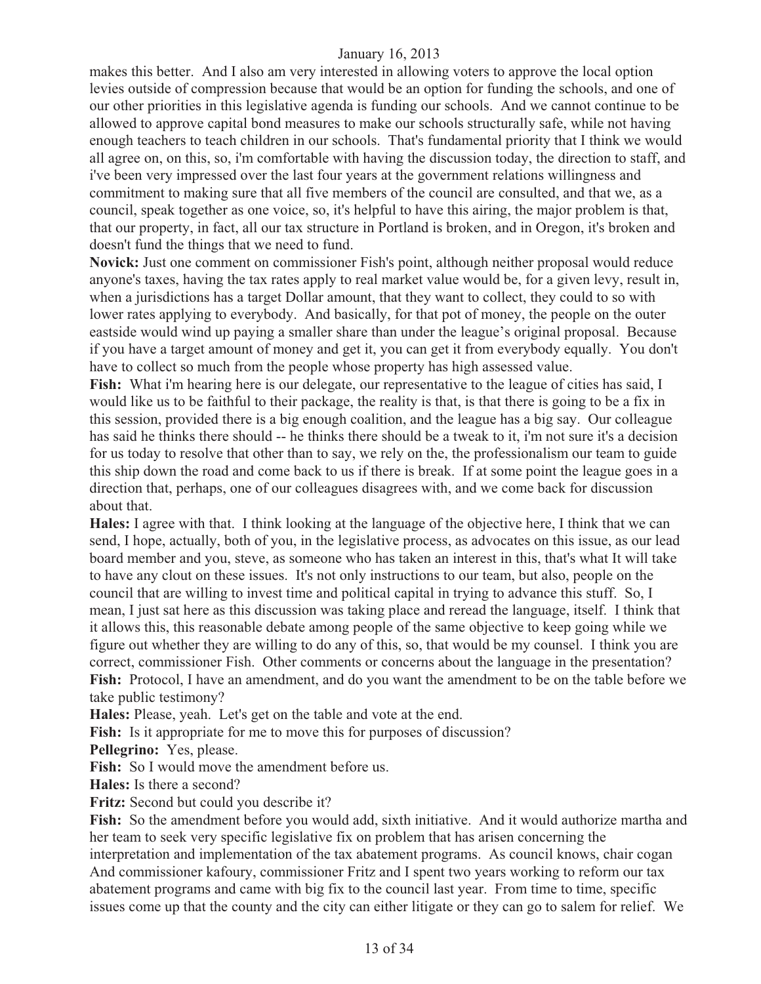makes this better. And I also am very interested in allowing voters to approve the local option levies outside of compression because that would be an option for funding the schools, and one of our other priorities in this legislative agenda is funding our schools. And we cannot continue to be allowed to approve capital bond measures to make our schools structurally safe, while not having enough teachers to teach children in our schools. That's fundamental priority that I think we would all agree on, on this, so, i'm comfortable with having the discussion today, the direction to staff, and i've been very impressed over the last four years at the government relations willingness and commitment to making sure that all five members of the council are consulted, and that we, as a council, speak together as one voice, so, it's helpful to have this airing, the major problem is that, that our property, in fact, all our tax structure in Portland is broken, and in Oregon, it's broken and doesn't fund the things that we need to fund.

**Novick:** Just one comment on commissioner Fish's point, although neither proposal would reduce anyone's taxes, having the tax rates apply to real market value would be, for a given levy, result in, when a jurisdictions has a target Dollar amount, that they want to collect, they could to so with lower rates applying to everybody. And basically, for that pot of money, the people on the outer eastside would wind up paying a smaller share than under the league's original proposal. Because if you have a target amount of money and get it, you can get it from everybody equally. You don't have to collect so much from the people whose property has high assessed value.

**Fish:** What i'm hearing here is our delegate, our representative to the league of cities has said, I would like us to be faithful to their package, the reality is that, is that there is going to be a fix in this session, provided there is a big enough coalition, and the league has a big say. Our colleague has said he thinks there should -- he thinks there should be a tweak to it, i'm not sure it's a decision for us today to resolve that other than to say, we rely on the, the professionalism our team to guide this ship down the road and come back to us if there is break. If at some point the league goes in a direction that, perhaps, one of our colleagues disagrees with, and we come back for discussion about that.

**Hales:** I agree with that. I think looking at the language of the objective here, I think that we can send, I hope, actually, both of you, in the legislative process, as advocates on this issue, as our lead board member and you, steve, as someone who has taken an interest in this, that's what It will take to have any clout on these issues. It's not only instructions to our team, but also, people on the council that are willing to invest time and political capital in trying to advance this stuff. So, I mean, I just sat here as this discussion was taking place and reread the language, itself. I think that it allows this, this reasonable debate among people of the same objective to keep going while we figure out whether they are willing to do any of this, so, that would be my counsel. I think you are correct, commissioner Fish. Other comments or concerns about the language in the presentation? **Fish:** Protocol, I have an amendment, and do you want the amendment to be on the table before we take public testimony?

**Hales:** Please, yeah. Let's get on the table and vote at the end.

Fish: Is it appropriate for me to move this for purposes of discussion?

**Pellegrino:** Yes, please.

**Fish:** So I would move the amendment before us.

**Hales:** Is there a second?

**Fritz:** Second but could you describe it?

**Fish:** So the amendment before you would add, sixth initiative. And it would authorize martha and her team to seek very specific legislative fix on problem that has arisen concerning the interpretation and implementation of the tax abatement programs. As council knows, chair cogan And commissioner kafoury, commissioner Fritz and I spent two years working to reform our tax abatement programs and came with big fix to the council last year. From time to time, specific issues come up that the county and the city can either litigate or they can go to salem for relief. We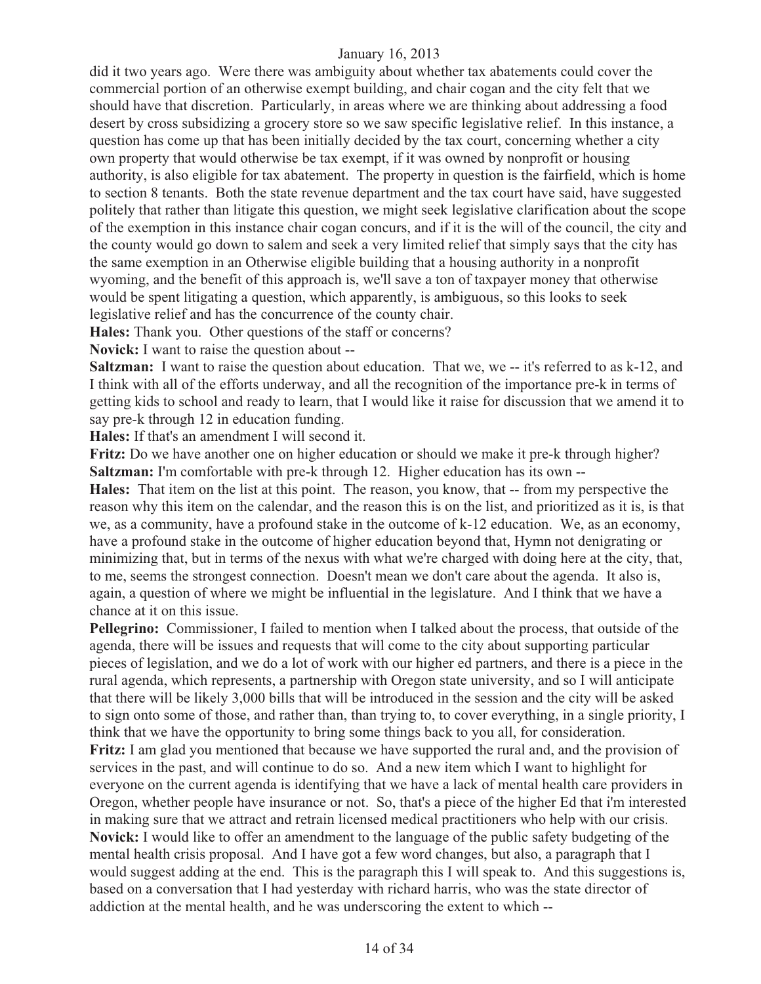did it two years ago. Were there was ambiguity about whether tax abatements could cover the commercial portion of an otherwise exempt building, and chair cogan and the city felt that we should have that discretion. Particularly, in areas where we are thinking about addressing a food desert by cross subsidizing a grocery store so we saw specific legislative relief. In this instance, a question has come up that has been initially decided by the tax court, concerning whether a city own property that would otherwise be tax exempt, if it was owned by nonprofit or housing authority, is also eligible for tax abatement. The property in question is the fairfield, which is home to section 8 tenants. Both the state revenue department and the tax court have said, have suggested politely that rather than litigate this question, we might seek legislative clarification about the scope of the exemption in this instance chair cogan concurs, and if it is the will of the council, the city and the county would go down to salem and seek a very limited relief that simply says that the city has the same exemption in an Otherwise eligible building that a housing authority in a nonprofit wyoming, and the benefit of this approach is, we'll save a ton of taxpayer money that otherwise would be spent litigating a question, which apparently, is ambiguous, so this looks to seek legislative relief and has the concurrence of the county chair.

**Hales:** Thank you. Other questions of the staff or concerns?

**Novick:** I want to raise the question about --

**Saltzman:** I want to raise the question about education. That we, we -- it's referred to as k-12, and I think with all of the efforts underway, and all the recognition of the importance pre-k in terms of getting kids to school and ready to learn, that I would like it raise for discussion that we amend it to say pre-k through 12 in education funding.

**Hales:** If that's an amendment I will second it.

**Fritz:** Do we have another one on higher education or should we make it pre-k through higher? **Saltzman:** I'm comfortable with pre-k through 12. Higher education has its own --

**Hales:** That item on the list at this point. The reason, you know, that -- from my perspective the reason why this item on the calendar, and the reason this is on the list, and prioritized as it is, is that we, as a community, have a profound stake in the outcome of k-12 education. We, as an economy, have a profound stake in the outcome of higher education beyond that, Hymn not denigrating or minimizing that, but in terms of the nexus with what we're charged with doing here at the city, that, to me, seems the strongest connection. Doesn't mean we don't care about the agenda. It also is, again, a question of where we might be influential in the legislature. And I think that we have a chance at it on this issue.

**Pellegrino:** Commissioner, I failed to mention when I talked about the process, that outside of the agenda, there will be issues and requests that will come to the city about supporting particular pieces of legislation, and we do a lot of work with our higher ed partners, and there is a piece in the rural agenda, which represents, a partnership with Oregon state university, and so I will anticipate that there will be likely 3,000 bills that will be introduced in the session and the city will be asked to sign onto some of those, and rather than, than trying to, to cover everything, in a single priority, I think that we have the opportunity to bring some things back to you all, for consideration. **Fritz:** I am glad you mentioned that because we have supported the rural and, and the provision of services in the past, and will continue to do so. And a new item which I want to highlight for everyone on the current agenda is identifying that we have a lack of mental health care providers in Oregon, whether people have insurance or not. So, that's a piece of the higher Ed that i'm interested in making sure that we attract and retrain licensed medical practitioners who help with our crisis. **Novick:** I would like to offer an amendment to the language of the public safety budgeting of the mental health crisis proposal. And I have got a few word changes, but also, a paragraph that I would suggest adding at the end. This is the paragraph this I will speak to. And this suggestions is, based on a conversation that I had yesterday with richard harris, who was the state director of addiction at the mental health, and he was underscoring the extent to which --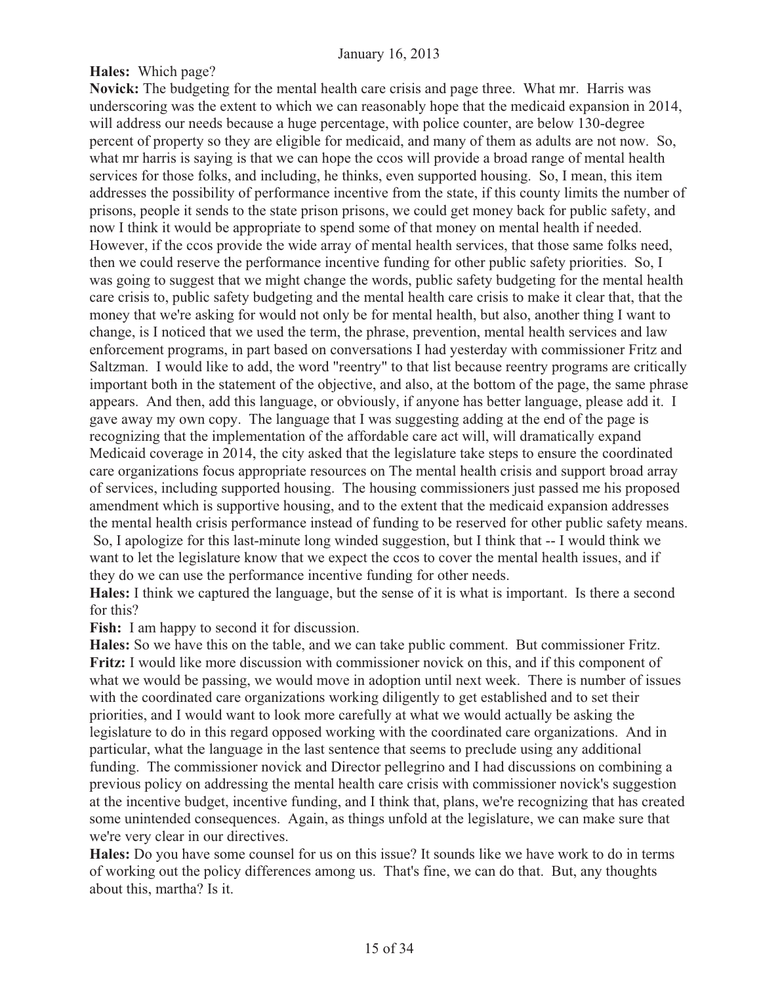# **Hales:** Which page?

**Novick:** The budgeting for the mental health care crisis and page three. What mr. Harris was underscoring was the extent to which we can reasonably hope that the medicaid expansion in 2014, will address our needs because a huge percentage, with police counter, are below 130-degree percent of property so they are eligible for medicaid, and many of them as adults are not now. So, what mr harris is saying is that we can hope the ccos will provide a broad range of mental health services for those folks, and including, he thinks, even supported housing. So, I mean, this item addresses the possibility of performance incentive from the state, if this county limits the number of prisons, people it sends to the state prison prisons, we could get money back for public safety, and now I think it would be appropriate to spend some of that money on mental health if needed. However, if the ccos provide the wide array of mental health services, that those same folks need, then we could reserve the performance incentive funding for other public safety priorities. So, I was going to suggest that we might change the words, public safety budgeting for the mental health care crisis to, public safety budgeting and the mental health care crisis to make it clear that, that the money that we're asking for would not only be for mental health, but also, another thing I want to change, is I noticed that we used the term, the phrase, prevention, mental health services and law enforcement programs, in part based on conversations I had yesterday with commissioner Fritz and Saltzman. I would like to add, the word "reentry" to that list because reentry programs are critically important both in the statement of the objective, and also, at the bottom of the page, the same phrase appears. And then, add this language, or obviously, if anyone has better language, please add it. I gave away my own copy. The language that I was suggesting adding at the end of the page is recognizing that the implementation of the affordable care act will, will dramatically expand Medicaid coverage in 2014, the city asked that the legislature take steps to ensure the coordinated care organizations focus appropriate resources on The mental health crisis and support broad array of services, including supported housing. The housing commissioners just passed me his proposed amendment which is supportive housing, and to the extent that the medicaid expansion addresses the mental health crisis performance instead of funding to be reserved for other public safety means. So, I apologize for this last-minute long winded suggestion, but I think that -- I would think we want to let the legislature know that we expect the ccos to cover the mental health issues, and if they do we can use the performance incentive funding for other needs.

**Hales:** I think we captured the language, but the sense of it is what is important. Is there a second for this?

**Fish:** I am happy to second it for discussion.

**Hales:** So we have this on the table, and we can take public comment. But commissioner Fritz. **Fritz:** I would like more discussion with commissioner novick on this, and if this component of what we would be passing, we would move in adoption until next week. There is number of issues with the coordinated care organizations working diligently to get established and to set their priorities, and I would want to look more carefully at what we would actually be asking the legislature to do in this regard opposed working with the coordinated care organizations. And in particular, what the language in the last sentence that seems to preclude using any additional funding. The commissioner novick and Director pellegrino and I had discussions on combining a previous policy on addressing the mental health care crisis with commissioner novick's suggestion at the incentive budget, incentive funding, and I think that, plans, we're recognizing that has created some unintended consequences. Again, as things unfold at the legislature, we can make sure that we're very clear in our directives.

**Hales:** Do you have some counsel for us on this issue? It sounds like we have work to do in terms of working out the policy differences among us. That's fine, we can do that. But, any thoughts about this, martha? Is it.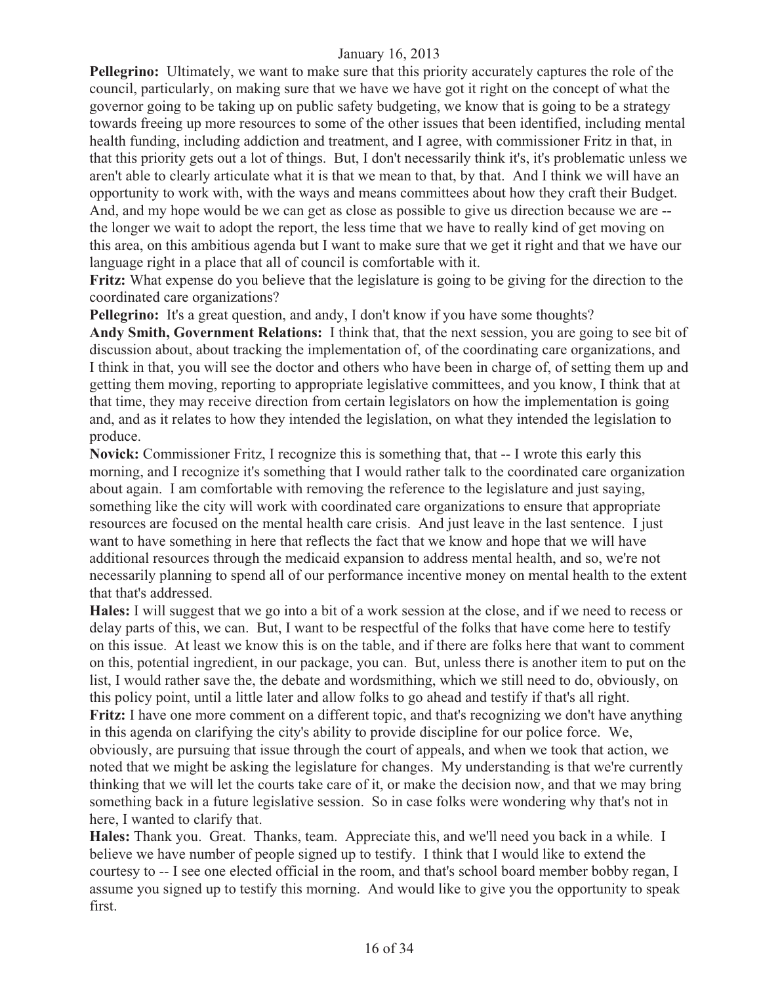**Pellegrino:** Ultimately, we want to make sure that this priority accurately captures the role of the council, particularly, on making sure that we have we have got it right on the concept of what the governor going to be taking up on public safety budgeting, we know that is going to be a strategy towards freeing up more resources to some of the other issues that been identified, including mental health funding, including addiction and treatment, and I agree, with commissioner Fritz in that, in that this priority gets out a lot of things. But, I don't necessarily think it's, it's problematic unless we aren't able to clearly articulate what it is that we mean to that, by that. And I think we will have an opportunity to work with, with the ways and means committees about how they craft their Budget. And, and my hope would be we can get as close as possible to give us direction because we are - the longer we wait to adopt the report, the less time that we have to really kind of get moving on this area, on this ambitious agenda but I want to make sure that we get it right and that we have our language right in a place that all of council is comfortable with it.

**Fritz:** What expense do you believe that the legislature is going to be giving for the direction to the coordinated care organizations?

**Pellegrino:** It's a great question, and andy, I don't know if you have some thoughts?

**Andy Smith, Government Relations:** I think that, that the next session, you are going to see bit of discussion about, about tracking the implementation of, of the coordinating care organizations, and I think in that, you will see the doctor and others who have been in charge of, of setting them up and getting them moving, reporting to appropriate legislative committees, and you know, I think that at that time, they may receive direction from certain legislators on how the implementation is going and, and as it relates to how they intended the legislation, on what they intended the legislation to produce.

**Novick:** Commissioner Fritz, I recognize this is something that, that -- I wrote this early this morning, and I recognize it's something that I would rather talk to the coordinated care organization about again. I am comfortable with removing the reference to the legislature and just saying, something like the city will work with coordinated care organizations to ensure that appropriate resources are focused on the mental health care crisis. And just leave in the last sentence. I just want to have something in here that reflects the fact that we know and hope that we will have additional resources through the medicaid expansion to address mental health, and so, we're not necessarily planning to spend all of our performance incentive money on mental health to the extent that that's addressed.

**Hales:** I will suggest that we go into a bit of a work session at the close, and if we need to recess or delay parts of this, we can. But, I want to be respectful of the folks that have come here to testify on this issue. At least we know this is on the table, and if there are folks here that want to comment on this, potential ingredient, in our package, you can. But, unless there is another item to put on the list, I would rather save the, the debate and wordsmithing, which we still need to do, obviously, on this policy point, until a little later and allow folks to go ahead and testify if that's all right. **Fritz:** I have one more comment on a different topic, and that's recognizing we don't have anything in this agenda on clarifying the city's ability to provide discipline for our police force. We, obviously, are pursuing that issue through the court of appeals, and when we took that action, we noted that we might be asking the legislature for changes. My understanding is that we're currently thinking that we will let the courts take care of it, or make the decision now, and that we may bring something back in a future legislative session. So in case folks were wondering why that's not in here, I wanted to clarify that.

**Hales:** Thank you. Great. Thanks, team. Appreciate this, and we'll need you back in a while. I believe we have number of people signed up to testify. I think that I would like to extend the courtesy to -- I see one elected official in the room, and that's school board member bobby regan, I assume you signed up to testify this morning. And would like to give you the opportunity to speak first.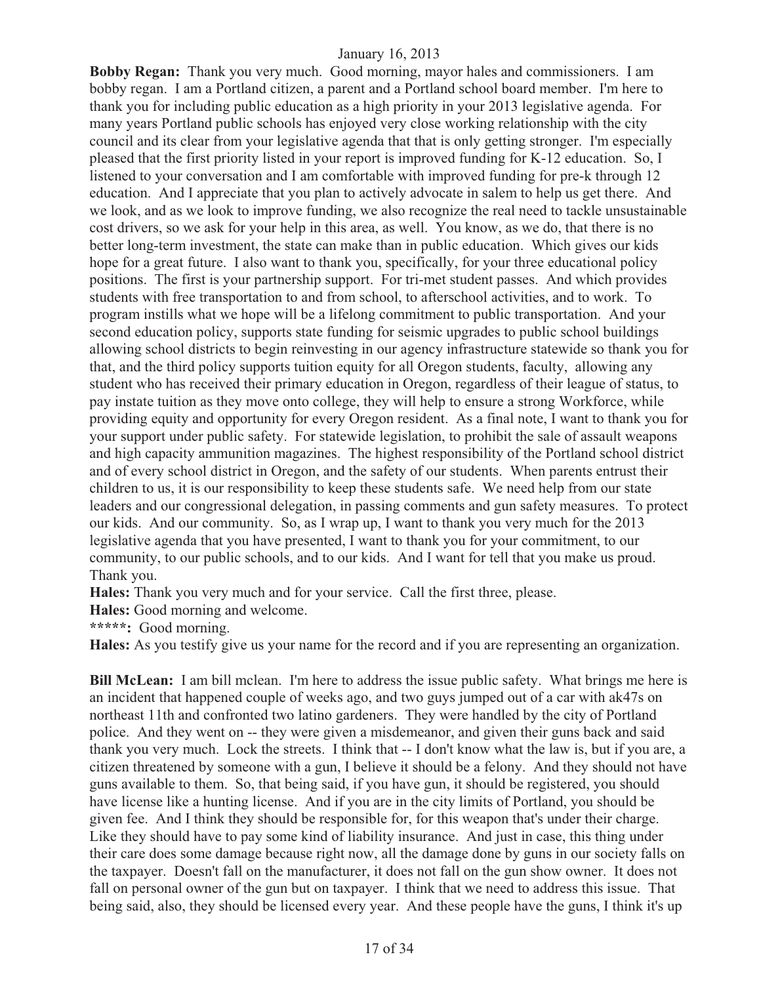**Bobby Regan:** Thank you very much. Good morning, mayor hales and commissioners. I am bobby regan. I am a Portland citizen, a parent and a Portland school board member. I'm here to thank you for including public education as a high priority in your 2013 legislative agenda. For many years Portland public schools has enjoyed very close working relationship with the city council and its clear from your legislative agenda that that is only getting stronger. I'm especially pleased that the first priority listed in your report is improved funding for K-12 education. So, I listened to your conversation and I am comfortable with improved funding for pre-k through 12 education. And I appreciate that you plan to actively advocate in salem to help us get there. And we look, and as we look to improve funding, we also recognize the real need to tackle unsustainable cost drivers, so we ask for your help in this area, as well. You know, as we do, that there is no better long-term investment, the state can make than in public education. Which gives our kids hope for a great future. I also want to thank you, specifically, for your three educational policy positions. The first is your partnership support. For tri-met student passes. And which provides students with free transportation to and from school, to afterschool activities, and to work. To program instills what we hope will be a lifelong commitment to public transportation. And your second education policy, supports state funding for seismic upgrades to public school buildings allowing school districts to begin reinvesting in our agency infrastructure statewide so thank you for that, and the third policy supports tuition equity for all Oregon students, faculty, allowing any student who has received their primary education in Oregon, regardless of their league of status, to pay instate tuition as they move onto college, they will help to ensure a strong Workforce, while providing equity and opportunity for every Oregon resident. As a final note, I want to thank you for your support under public safety. For statewide legislation, to prohibit the sale of assault weapons and high capacity ammunition magazines. The highest responsibility of the Portland school district and of every school district in Oregon, and the safety of our students. When parents entrust their children to us, it is our responsibility to keep these students safe. We need help from our state leaders and our congressional delegation, in passing comments and gun safety measures. To protect our kids. And our community. So, as I wrap up, I want to thank you very much for the 2013 legislative agenda that you have presented, I want to thank you for your commitment, to our community, to our public schools, and to our kids. And I want for tell that you make us proud. Thank you.

**Hales:** Thank you very much and for your service. Call the first three, please.

**Hales:** Good morning and welcome.

**\*\*\*\*\*:** Good morning.

**Hales:** As you testify give us your name for the record and if you are representing an organization.

**Bill McLean:** I am bill mclean. I'm here to address the issue public safety. What brings me here is an incident that happened couple of weeks ago, and two guys jumped out of a car with ak47s on northeast 11th and confronted two latino gardeners. They were handled by the city of Portland police. And they went on -- they were given a misdemeanor, and given their guns back and said thank you very much. Lock the streets. I think that -- I don't know what the law is, but if you are, a citizen threatened by someone with a gun, I believe it should be a felony. And they should not have guns available to them. So, that being said, if you have gun, it should be registered, you should have license like a hunting license. And if you are in the city limits of Portland, you should be given fee. And I think they should be responsible for, for this weapon that's under their charge. Like they should have to pay some kind of liability insurance. And just in case, this thing under their care does some damage because right now, all the damage done by guns in our society falls on the taxpayer. Doesn't fall on the manufacturer, it does not fall on the gun show owner. It does not fall on personal owner of the gun but on taxpayer. I think that we need to address this issue. That being said, also, they should be licensed every year. And these people have the guns, I think it's up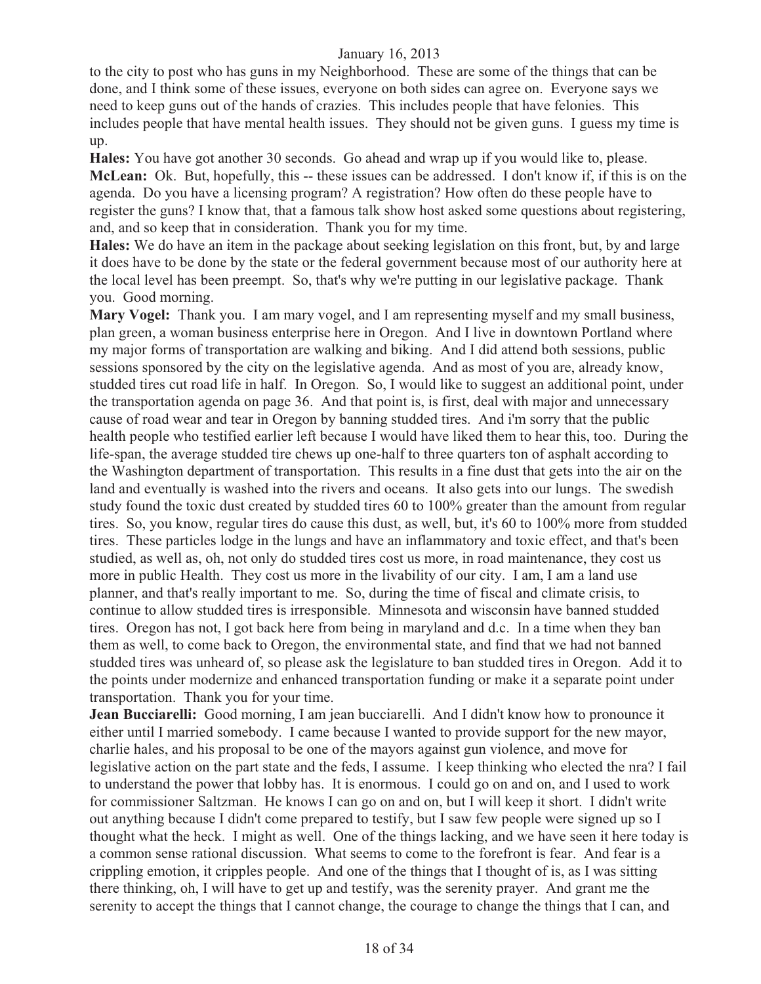to the city to post who has guns in my Neighborhood. These are some of the things that can be done, and I think some of these issues, everyone on both sides can agree on. Everyone says we need to keep guns out of the hands of crazies. This includes people that have felonies. This includes people that have mental health issues. They should not be given guns. I guess my time is up.

**Hales:** You have got another 30 seconds. Go ahead and wrap up if you would like to, please. **McLean:** Ok. But, hopefully, this -- these issues can be addressed. I don't know if, if this is on the agenda. Do you have a licensing program? A registration? How often do these people have to register the guns? I know that, that a famous talk show host asked some questions about registering, and, and so keep that in consideration. Thank you for my time.

**Hales:** We do have an item in the package about seeking legislation on this front, but, by and large it does have to be done by the state or the federal government because most of our authority here at the local level has been preempt. So, that's why we're putting in our legislative package. Thank you. Good morning.

**Mary Vogel:** Thank you. I am mary vogel, and I am representing myself and my small business, plan green, a woman business enterprise here in Oregon. And I live in downtown Portland where my major forms of transportation are walking and biking. And I did attend both sessions, public sessions sponsored by the city on the legislative agenda. And as most of you are, already know, studded tires cut road life in half. In Oregon. So, I would like to suggest an additional point, under the transportation agenda on page 36. And that point is, is first, deal with major and unnecessary cause of road wear and tear in Oregon by banning studded tires. And i'm sorry that the public health people who testified earlier left because I would have liked them to hear this, too. During the life-span, the average studded tire chews up one-half to three quarters ton of asphalt according to the Washington department of transportation. This results in a fine dust that gets into the air on the land and eventually is washed into the rivers and oceans. It also gets into our lungs. The swedish study found the toxic dust created by studded tires 60 to 100% greater than the amount from regular tires. So, you know, regular tires do cause this dust, as well, but, it's 60 to 100% more from studded tires. These particles lodge in the lungs and have an inflammatory and toxic effect, and that's been studied, as well as, oh, not only do studded tires cost us more, in road maintenance, they cost us more in public Health. They cost us more in the livability of our city. I am, I am a land use planner, and that's really important to me. So, during the time of fiscal and climate crisis, to continue to allow studded tires is irresponsible. Minnesota and wisconsin have banned studded tires. Oregon has not, I got back here from being in maryland and d.c. In a time when they ban them as well, to come back to Oregon, the environmental state, and find that we had not banned studded tires was unheard of, so please ask the legislature to ban studded tires in Oregon. Add it to the points under modernize and enhanced transportation funding or make it a separate point under transportation. Thank you for your time.

**Jean Bucciarelli:** Good morning, I am jean bucciarelli. And I didn't know how to pronounce it either until I married somebody. I came because I wanted to provide support for the new mayor, charlie hales, and his proposal to be one of the mayors against gun violence, and move for legislative action on the part state and the feds, I assume. I keep thinking who elected the nra? I fail to understand the power that lobby has. It is enormous. I could go on and on, and I used to work for commissioner Saltzman. He knows I can go on and on, but I will keep it short. I didn't write out anything because I didn't come prepared to testify, but I saw few people were signed up so I thought what the heck. I might as well. One of the things lacking, and we have seen it here today is a common sense rational discussion. What seems to come to the forefront is fear. And fear is a crippling emotion, it cripples people. And one of the things that I thought of is, as I was sitting there thinking, oh, I will have to get up and testify, was the serenity prayer. And grant me the serenity to accept the things that I cannot change, the courage to change the things that I can, and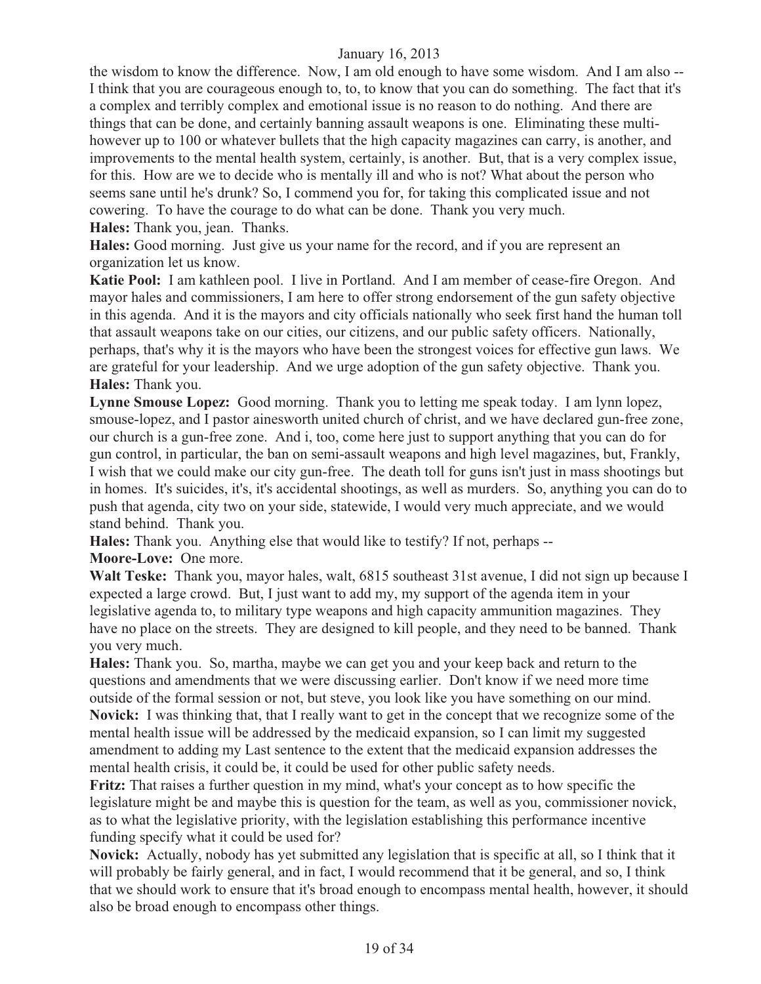the wisdom to know the difference. Now, I am old enough to have some wisdom. And I am also -- I think that you are courageous enough to, to, to know that you can do something. The fact that it's a complex and terribly complex and emotional issue is no reason to do nothing. And there are things that can be done, and certainly banning assault weapons is one. Eliminating these multihowever up to 100 or whatever bullets that the high capacity magazines can carry, is another, and improvements to the mental health system, certainly, is another. But, that is a very complex issue, for this. How are we to decide who is mentally ill and who is not? What about the person who seems sane until he's drunk? So, I commend you for, for taking this complicated issue and not cowering. To have the courage to do what can be done. Thank you very much. **Hales:** Thank you, jean. Thanks.

**Hales:** Good morning. Just give us your name for the record, and if you are represent an organization let us know.

**Katie Pool:** I am kathleen pool. I live in Portland. And I am member of cease-fire Oregon. And mayor hales and commissioners, I am here to offer strong endorsement of the gun safety objective in this agenda. And it is the mayors and city officials nationally who seek first hand the human toll that assault weapons take on our cities, our citizens, and our public safety officers. Nationally, perhaps, that's why it is the mayors who have been the strongest voices for effective gun laws. We are grateful for your leadership. And we urge adoption of the gun safety objective. Thank you. **Hales:** Thank you.

**Lynne Smouse Lopez:** Good morning. Thank you to letting me speak today. I am lynn lopez, smouse-lopez, and I pastor ainesworth united church of christ, and we have declared gun-free zone, our church is a gun-free zone. And i, too, come here just to support anything that you can do for gun control, in particular, the ban on semi-assault weapons and high level magazines, but, Frankly, I wish that we could make our city gun-free. The death toll for guns isn't just in mass shootings but in homes. It's suicides, it's, it's accidental shootings, as well as murders. So, anything you can do to push that agenda, city two on your side, statewide, I would very much appreciate, and we would stand behind. Thank you.

**Hales:** Thank you. Anything else that would like to testify? If not, perhaps --

**Moore-Love:** One more.

**Walt Teske:** Thank you, mayor hales, walt, 6815 southeast 31st avenue, I did not sign up because I expected a large crowd. But, I just want to add my, my support of the agenda item in your legislative agenda to, to military type weapons and high capacity ammunition magazines. They have no place on the streets. They are designed to kill people, and they need to be banned. Thank you very much.

**Hales:** Thank you. So, martha, maybe we can get you and your keep back and return to the questions and amendments that we were discussing earlier. Don't know if we need more time outside of the formal session or not, but steve, you look like you have something on our mind. **Novick:** I was thinking that, that I really want to get in the concept that we recognize some of the mental health issue will be addressed by the medicaid expansion, so I can limit my suggested amendment to adding my Last sentence to the extent that the medicaid expansion addresses the mental health crisis, it could be, it could be used for other public safety needs.

**Fritz:** That raises a further question in my mind, what's your concept as to how specific the legislature might be and maybe this is question for the team, as well as you, commissioner novick, as to what the legislative priority, with the legislation establishing this performance incentive funding specify what it could be used for?

**Novick:** Actually, nobody has yet submitted any legislation that is specific at all, so I think that it will probably be fairly general, and in fact, I would recommend that it be general, and so, I think that we should work to ensure that it's broad enough to encompass mental health, however, it should also be broad enough to encompass other things.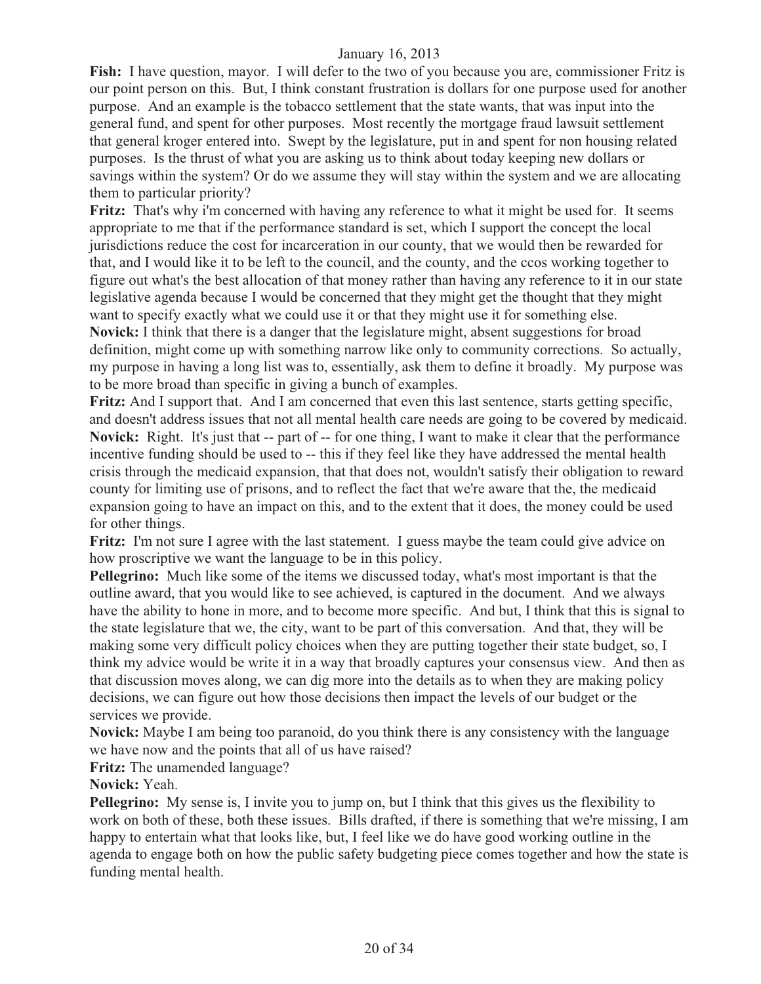**Fish:** I have question, mayor. I will defer to the two of you because you are, commissioner Fritz is our point person on this. But, I think constant frustration is dollars for one purpose used for another purpose. And an example is the tobacco settlement that the state wants, that was input into the general fund, and spent for other purposes. Most recently the mortgage fraud lawsuit settlement that general kroger entered into. Swept by the legislature, put in and spent for non housing related purposes. Is the thrust of what you are asking us to think about today keeping new dollars or savings within the system? Or do we assume they will stay within the system and we are allocating them to particular priority?

**Fritz:** That's why i'm concerned with having any reference to what it might be used for. It seems appropriate to me that if the performance standard is set, which I support the concept the local jurisdictions reduce the cost for incarceration in our county, that we would then be rewarded for that, and I would like it to be left to the council, and the county, and the ccos working together to figure out what's the best allocation of that money rather than having any reference to it in our state legislative agenda because I would be concerned that they might get the thought that they might want to specify exactly what we could use it or that they might use it for something else. **Novick:** I think that there is a danger that the legislature might, absent suggestions for broad definition, might come up with something narrow like only to community corrections. So actually,

my purpose in having a long list was to, essentially, ask them to define it broadly. My purpose was to be more broad than specific in giving a bunch of examples.

**Fritz:** And I support that. And I am concerned that even this last sentence, starts getting specific, and doesn't address issues that not all mental health care needs are going to be covered by medicaid. **Novick:** Right. It's just that -- part of -- for one thing, I want to make it clear that the performance incentive funding should be used to -- this if they feel like they have addressed the mental health crisis through the medicaid expansion, that that does not, wouldn't satisfy their obligation to reward county for limiting use of prisons, and to reflect the fact that we're aware that the, the medicaid expansion going to have an impact on this, and to the extent that it does, the money could be used for other things.

Fritz: I'm not sure I agree with the last statement. I guess maybe the team could give advice on how proscriptive we want the language to be in this policy.

**Pellegrino:** Much like some of the items we discussed today, what's most important is that the outline award, that you would like to see achieved, is captured in the document. And we always have the ability to hone in more, and to become more specific. And but, I think that this is signal to the state legislature that we, the city, want to be part of this conversation. And that, they will be making some very difficult policy choices when they are putting together their state budget, so, I think my advice would be write it in a way that broadly captures your consensus view. And then as that discussion moves along, we can dig more into the details as to when they are making policy decisions, we can figure out how those decisions then impact the levels of our budget or the services we provide.

**Novick:** Maybe I am being too paranoid, do you think there is any consistency with the language we have now and the points that all of us have raised?

**Fritz:** The unamended language?

**Novick:** Yeah.

**Pellegrino:** My sense is, I invite you to jump on, but I think that this gives us the flexibility to work on both of these, both these issues. Bills drafted, if there is something that we're missing, I am happy to entertain what that looks like, but, I feel like we do have good working outline in the agenda to engage both on how the public safety budgeting piece comes together and how the state is funding mental health.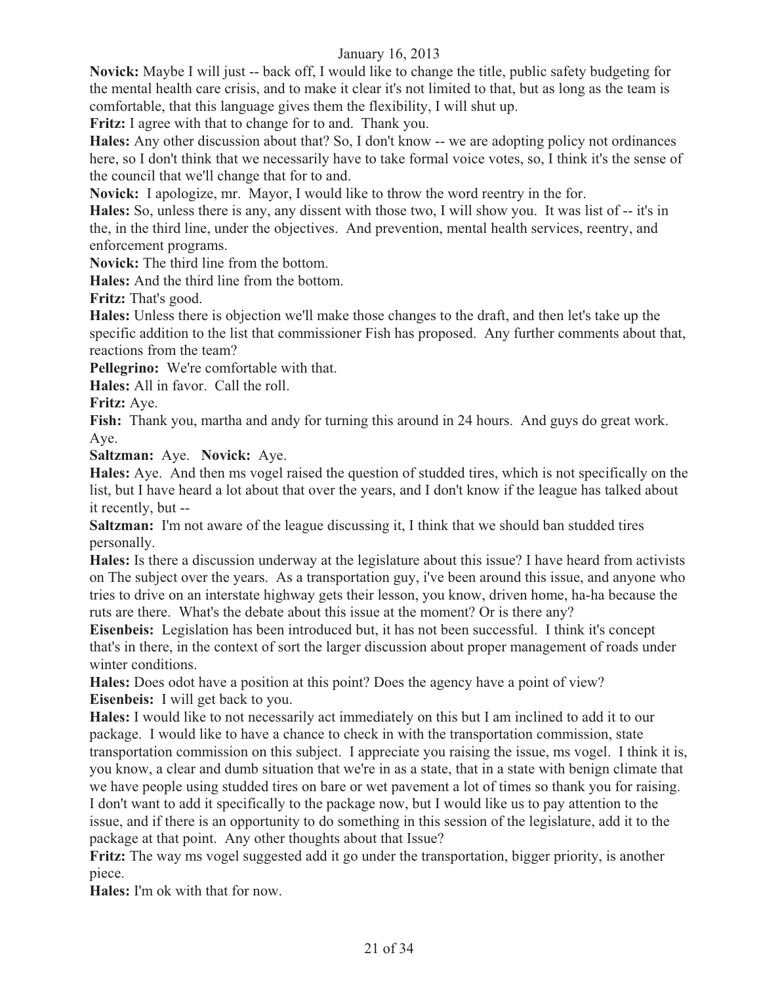**Novick:** Maybe I will just -- back off, I would like to change the title, public safety budgeting for the mental health care crisis, and to make it clear it's not limited to that, but as long as the team is comfortable, that this language gives them the flexibility, I will shut up.

**Fritz:** I agree with that to change for to and. Thank you.

**Hales:** Any other discussion about that? So, I don't know -- we are adopting policy not ordinances here, so I don't think that we necessarily have to take formal voice votes, so, I think it's the sense of the council that we'll change that for to and.

**Novick:** I apologize, mr. Mayor, I would like to throw the word reentry in the for.

**Hales:** So, unless there is any, any dissent with those two, I will show you. It was list of -- it's in the, in the third line, under the objectives. And prevention, mental health services, reentry, and enforcement programs.

**Novick:** The third line from the bottom.

**Hales:** And the third line from the bottom.

**Fritz:** That's good.

**Hales:** Unless there is objection we'll make those changes to the draft, and then let's take up the specific addition to the list that commissioner Fish has proposed. Any further comments about that, reactions from the team?

**Pellegrino:** We're comfortable with that.

**Hales:** All in favor. Call the roll.

**Fritz:** Aye.

**Fish:** Thank you, martha and andy for turning this around in 24 hours. And guys do great work. Aye.

**Saltzman:** Aye. **Novick:** Aye.

**Hales:** Aye. And then ms vogel raised the question of studded tires, which is not specifically on the list, but I have heard a lot about that over the years, and I don't know if the league has talked about it recently, but --

**Saltzman:** I'm not aware of the league discussing it, I think that we should ban studded tires personally.

**Hales:** Is there a discussion underway at the legislature about this issue? I have heard from activists on The subject over the years. As a transportation guy, i've been around this issue, and anyone who tries to drive on an interstate highway gets their lesson, you know, driven home, ha-ha because the ruts are there. What's the debate about this issue at the moment? Or is there any?

**Eisenbeis:** Legislation has been introduced but, it has not been successful. I think it's concept that's in there, in the context of sort the larger discussion about proper management of roads under winter conditions.

**Hales:** Does odot have a position at this point? Does the agency have a point of view? **Eisenbeis:** I will get back to you.

**Hales:** I would like to not necessarily act immediately on this but I am inclined to add it to our package. I would like to have a chance to check in with the transportation commission, state transportation commission on this subject. I appreciate you raising the issue, ms vogel. I think it is, you know, a clear and dumb situation that we're in as a state, that in a state with benign climate that we have people using studded tires on bare or wet pavement a lot of times so thank you for raising. I don't want to add it specifically to the package now, but I would like us to pay attention to the issue, and if there is an opportunity to do something in this session of the legislature, add it to the package at that point. Any other thoughts about that Issue?

**Fritz:** The way ms vogel suggested add it go under the transportation, bigger priority, is another piece.

**Hales:** I'm ok with that for now.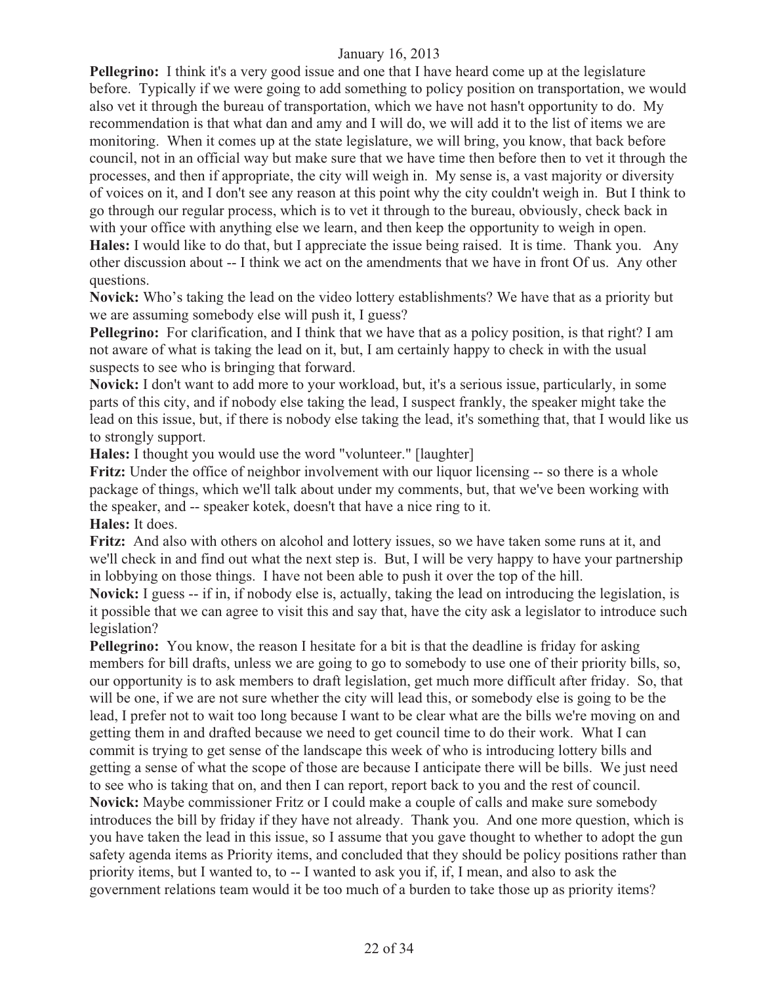**Pellegrino:** I think it's a very good issue and one that I have heard come up at the legislature before. Typically if we were going to add something to policy position on transportation, we would also vet it through the bureau of transportation, which we have not hasn't opportunity to do. My recommendation is that what dan and amy and I will do, we will add it to the list of items we are monitoring. When it comes up at the state legislature, we will bring, you know, that back before council, not in an official way but make sure that we have time then before then to vet it through the processes, and then if appropriate, the city will weigh in. My sense is, a vast majority or diversity of voices on it, and I don't see any reason at this point why the city couldn't weigh in. But I think to go through our regular process, which is to vet it through to the bureau, obviously, check back in with your office with anything else we learn, and then keep the opportunity to weigh in open. **Hales:** I would like to do that, but I appreciate the issue being raised. It is time. Thank you. Any other discussion about -- I think we act on the amendments that we have in front Of us. Any other questions.

**Novick:** Who's taking the lead on the video lottery establishments? We have that as a priority but we are assuming somebody else will push it, I guess?

**Pellegrino:** For clarification, and I think that we have that as a policy position, is that right? I am not aware of what is taking the lead on it, but, I am certainly happy to check in with the usual suspects to see who is bringing that forward.

**Novick:** I don't want to add more to your workload, but, it's a serious issue, particularly, in some parts of this city, and if nobody else taking the lead, I suspect frankly, the speaker might take the lead on this issue, but, if there is nobody else taking the lead, it's something that, that I would like us to strongly support.

**Hales:** I thought you would use the word "volunteer." [laughter]

**Fritz:** Under the office of neighbor involvement with our liquor licensing -- so there is a whole package of things, which we'll talk about under my comments, but, that we've been working with the speaker, and -- speaker kotek, doesn't that have a nice ring to it.

**Hales:** It does.

**Fritz:** And also with others on alcohol and lottery issues, so we have taken some runs at it, and we'll check in and find out what the next step is. But, I will be very happy to have your partnership in lobbying on those things. I have not been able to push it over the top of the hill.

**Novick:** I guess -- if in, if nobody else is, actually, taking the lead on introducing the legislation, is it possible that we can agree to visit this and say that, have the city ask a legislator to introduce such legislation?

**Pellegrino:** You know, the reason I hesitate for a bit is that the deadline is friday for asking members for bill drafts, unless we are going to go to somebody to use one of their priority bills, so, our opportunity is to ask members to draft legislation, get much more difficult after friday. So, that will be one, if we are not sure whether the city will lead this, or somebody else is going to be the lead, I prefer not to wait too long because I want to be clear what are the bills we're moving on and getting them in and drafted because we need to get council time to do their work. What I can commit is trying to get sense of the landscape this week of who is introducing lottery bills and getting a sense of what the scope of those are because I anticipate there will be bills. We just need to see who is taking that on, and then I can report, report back to you and the rest of council. **Novick:** Maybe commissioner Fritz or I could make a couple of calls and make sure somebody introduces the bill by friday if they have not already. Thank you. And one more question, which is you have taken the lead in this issue, so I assume that you gave thought to whether to adopt the gun safety agenda items as Priority items, and concluded that they should be policy positions rather than priority items, but I wanted to, to -- I wanted to ask you if, if, I mean, and also to ask the government relations team would it be too much of a burden to take those up as priority items?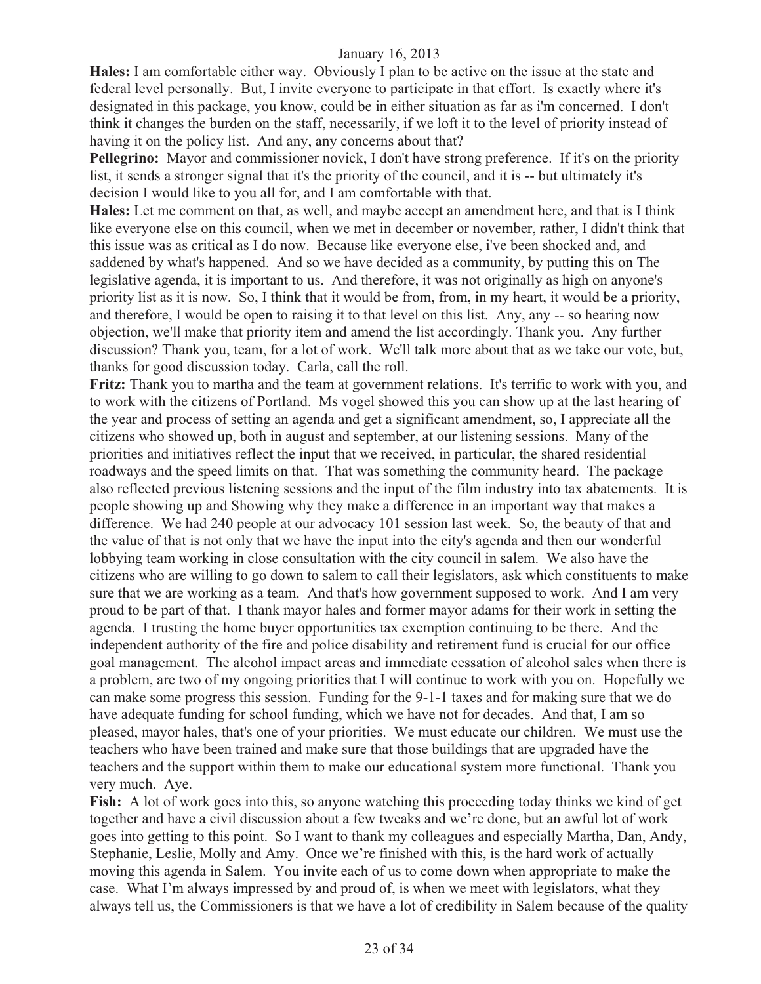**Hales:** I am comfortable either way. Obviously I plan to be active on the issue at the state and federal level personally. But, I invite everyone to participate in that effort. Is exactly where it's designated in this package, you know, could be in either situation as far as i'm concerned. I don't think it changes the burden on the staff, necessarily, if we loft it to the level of priority instead of having it on the policy list. And any, any concerns about that?

**Pellegrino:** Mayor and commissioner novick, I don't have strong preference. If it's on the priority list, it sends a stronger signal that it's the priority of the council, and it is -- but ultimately it's decision I would like to you all for, and I am comfortable with that.

**Hales:** Let me comment on that, as well, and maybe accept an amendment here, and that is I think like everyone else on this council, when we met in december or november, rather, I didn't think that this issue was as critical as I do now. Because like everyone else, i've been shocked and, and saddened by what's happened. And so we have decided as a community, by putting this on The legislative agenda, it is important to us. And therefore, it was not originally as high on anyone's priority list as it is now. So, I think that it would be from, from, in my heart, it would be a priority, and therefore, I would be open to raising it to that level on this list. Any, any -- so hearing now objection, we'll make that priority item and amend the list accordingly. Thank you. Any further discussion? Thank you, team, for a lot of work. We'll talk more about that as we take our vote, but, thanks for good discussion today. Carla, call the roll.

**Fritz:** Thank you to martha and the team at government relations. It's terrific to work with you, and to work with the citizens of Portland. Ms vogel showed this you can show up at the last hearing of the year and process of setting an agenda and get a significant amendment, so, I appreciate all the citizens who showed up, both in august and september, at our listening sessions. Many of the priorities and initiatives reflect the input that we received, in particular, the shared residential roadways and the speed limits on that. That was something the community heard. The package also reflected previous listening sessions and the input of the film industry into tax abatements. It is people showing up and Showing why they make a difference in an important way that makes a difference. We had 240 people at our advocacy 101 session last week. So, the beauty of that and the value of that is not only that we have the input into the city's agenda and then our wonderful lobbying team working in close consultation with the city council in salem. We also have the citizens who are willing to go down to salem to call their legislators, ask which constituents to make sure that we are working as a team. And that's how government supposed to work. And I am very proud to be part of that. I thank mayor hales and former mayor adams for their work in setting the agenda. I trusting the home buyer opportunities tax exemption continuing to be there. And the independent authority of the fire and police disability and retirement fund is crucial for our office goal management. The alcohol impact areas and immediate cessation of alcohol sales when there is a problem, are two of my ongoing priorities that I will continue to work with you on. Hopefully we can make some progress this session. Funding for the 9-1-1 taxes and for making sure that we do have adequate funding for school funding, which we have not for decades. And that, I am so pleased, mayor hales, that's one of your priorities. We must educate our children. We must use the teachers who have been trained and make sure that those buildings that are upgraded have the teachers and the support within them to make our educational system more functional. Thank you very much. Aye.

**Fish:** A lot of work goes into this, so anyone watching this proceeding today thinks we kind of get together and have a civil discussion about a few tweaks and we're done, but an awful lot of work goes into getting to this point. So I want to thank my colleagues and especially Martha, Dan, Andy, Stephanie, Leslie, Molly and Amy. Once we're finished with this, is the hard work of actually moving this agenda in Salem. You invite each of us to come down when appropriate to make the case. What I'm always impressed by and proud of, is when we meet with legislators, what they always tell us, the Commissioners is that we have a lot of credibility in Salem because of the quality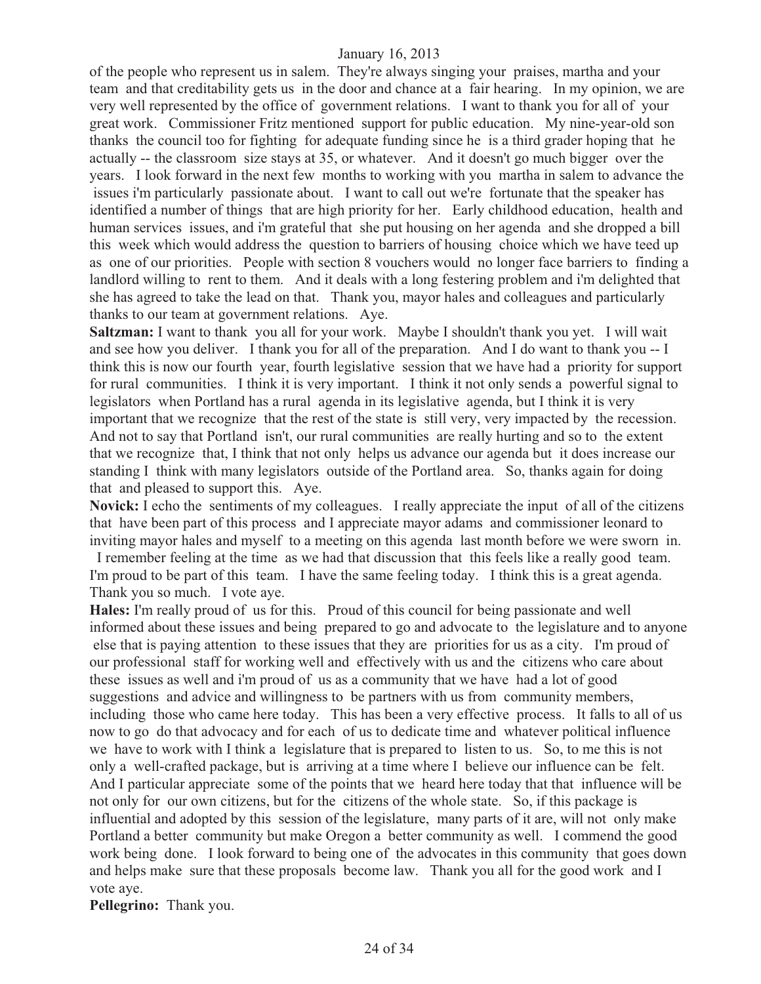of the people who represent us in salem. They're always singing your praises, martha and your team and that creditability gets us in the door and chance at a fair hearing. In my opinion, we are very well represented by the office of government relations. I want to thank you for all of your great work. Commissioner Fritz mentioned support for public education. My nine-year-old son thanks the council too for fighting for adequate funding since he is a third grader hoping that he actually -- the classroom size stays at 35, or whatever. And it doesn't go much bigger over the years. I look forward in the next few months to working with you martha in salem to advance the issues i'm particularly passionate about. I want to call out we're fortunate that the speaker has identified a number of things that are high priority for her. Early childhood education, health and human services issues, and i'm grateful that she put housing on her agenda and she dropped a bill this week which would address the question to barriers of housing choice which we have teed up as one of our priorities. People with section 8 vouchers would no longer face barriers to finding a landlord willing to rent to them. And it deals with a long festering problem and i'm delighted that she has agreed to take the lead on that. Thank you, mayor hales and colleagues and particularly thanks to our team at government relations. Aye.

**Saltzman:** I want to thank you all for your work. Maybe I shouldn't thank you yet. I will wait and see how you deliver. I thank you for all of the preparation. And I do want to thank you -- I think this is now our fourth year, fourth legislative session that we have had a priority for support for rural communities. I think it is very important. I think it not only sends a powerful signal to legislators when Portland has a rural agenda in its legislative agenda, but I think it is very important that we recognize that the rest of the state is still very, very impacted by the recession. And not to say that Portland isn't, our rural communities are really hurting and so to the extent that we recognize that, I think that not only helps us advance our agenda but it does increase our standing I think with many legislators outside of the Portland area. So, thanks again for doing that and pleased to support this. Aye.

**Novick:** I echo the sentiments of my colleagues. I really appreciate the input of all of the citizens that have been part of this process and I appreciate mayor adams and commissioner leonard to inviting mayor hales and myself to a meeting on this agenda last month before we were sworn in.

 I remember feeling at the time as we had that discussion that this feels like a really good team. I'm proud to be part of this team. I have the same feeling today. I think this is a great agenda. Thank you so much. I vote aye.

**Hales:** I'm really proud of us for this. Proud of this council for being passionate and well informed about these issues and being prepared to go and advocate to the legislature and to anyone else that is paying attention to these issues that they are priorities for us as a city. I'm proud of our professional staff for working well and effectively with us and the citizens who care about these issues as well and i'm proud of us as a community that we have had a lot of good suggestions and advice and willingness to be partners with us from community members, including those who came here today. This has been a very effective process. It falls to all of us now to go do that advocacy and for each of us to dedicate time and whatever political influence we have to work with I think a legislature that is prepared to listen to us. So, to me this is not only a well-crafted package, but is arriving at a time where I believe our influence can be felt. And I particular appreciate some of the points that we heard here today that that influence will be not only for our own citizens, but for the citizens of the whole state. So, if this package is influential and adopted by this session of the legislature, many parts of it are, will not only make Portland a better community but make Oregon a better community as well. I commend the good work being done. I look forward to being one of the advocates in this community that goes down and helps make sure that these proposals become law. Thank you all for the good work and I vote aye.

**Pellegrino:** Thank you.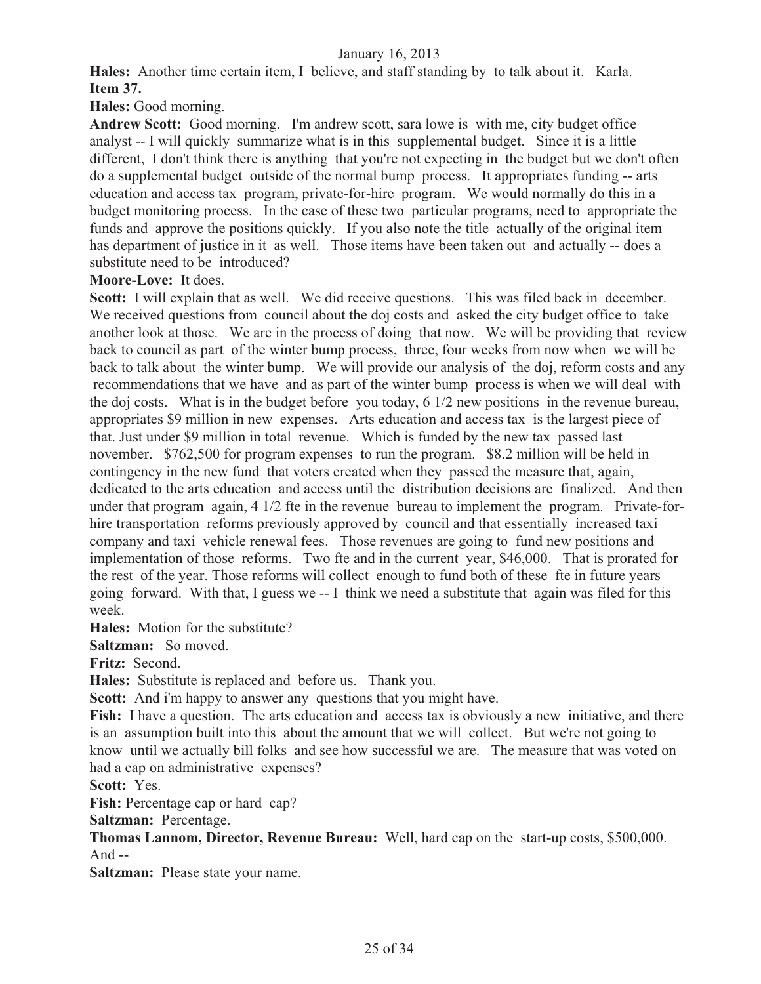**Hales:** Another time certain item, I believe, and staff standing by to talk about it. Karla. **Item 37.**

**Hales:** Good morning.

**Andrew Scott:** Good morning. I'm andrew scott, sara lowe is with me, city budget office analyst -- I will quickly summarize what is in this supplemental budget. Since it is a little different. I don't think there is anything that you're not expecting in the budget but we don't often do a supplemental budget outside of the normal bump process. It appropriates funding -- arts education and access tax program, private-for-hire program. We would normally do this in a budget monitoring process. In the case of these two particular programs, need to appropriate the funds and approve the positions quickly. If you also note the title actually of the original item has department of justice in it as well. Those items have been taken out and actually -- does a substitute need to be introduced?

**Moore-Love:** It does.

Scott: I will explain that as well. We did receive questions. This was filed back in december. We received questions from council about the doj costs and asked the city budget office to take another look at those. We are in the process of doing that now. We will be providing that review back to council as part of the winter bump process, three, four weeks from now when we will be back to talk about the winter bump. We will provide our analysis of the doj, reform costs and any recommendations that we have and as part of the winter bump process is when we will deal with the doj costs. What is in the budget before you today, 6 1/2 new positions in the revenue bureau, appropriates \$9 million in new expenses. Arts education and access tax is the largest piece of that. Just under \$9 million in total revenue. Which is funded by the new tax passed last november. \$762,500 for program expenses to run the program. \$8.2 million will be held in contingency in the new fund that voters created when they passed the measure that, again, dedicated to the arts education and access until the distribution decisions are finalized. And then under that program again, 4 1/2 fte in the revenue bureau to implement the program. Private-forhire transportation reforms previously approved by council and that essentially increased taxi company and taxi vehicle renewal fees. Those revenues are going to fund new positions and implementation of those reforms. Two fte and in the current year, \$46,000. That is prorated for the rest of the year. Those reforms will collect enough to fund both of these fte in future years going forward. With that, I guess we -- I think we need a substitute that again was filed for this week.

**Hales:** Motion for the substitute?

**Saltzman:** So moved.

**Fritz:** Second.

**Hales:** Substitute is replaced and before us. Thank you.

**Scott:** And i'm happy to answer any questions that you might have.

Fish: I have a question. The arts education and access tax is obviously a new initiative, and there is an assumption built into this about the amount that we will collect. But we're not going to know until we actually bill folks and see how successful we are. The measure that was voted on had a cap on administrative expenses?

**Scott:** Yes.

**Fish:** Percentage cap or hard cap?

**Saltzman:** Percentage.

**Thomas Lannom, Director, Revenue Bureau:** Well, hard cap on the start-up costs, \$500,000. And --

**Saltzman:** Please state your name.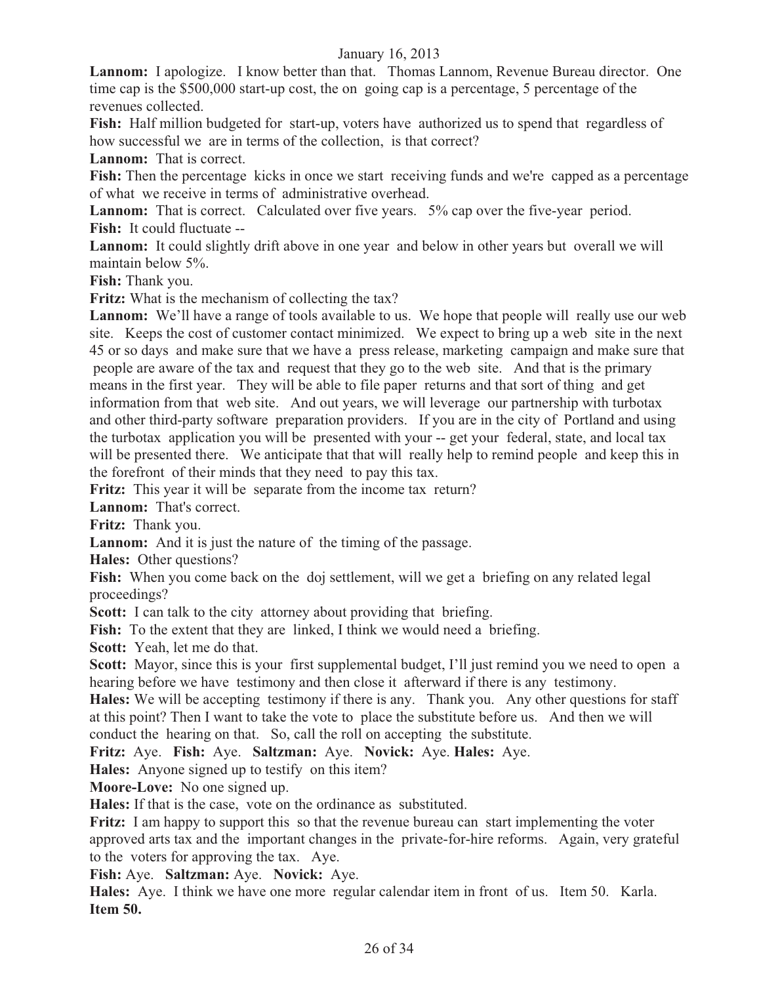**Lannom:** I apologize. I know better than that. Thomas Lannom, Revenue Bureau director. One time cap is the \$500,000 start-up cost, the on going cap is a percentage, 5 percentage of the revenues collected.

**Fish:** Half million budgeted for start-up, voters have authorized us to spend that regardless of how successful we are in terms of the collection, is that correct?

**Lannom:** That is correct.

**Fish:** Then the percentage kicks in once we start receiving funds and we're capped as a percentage of what we receive in terms of administrative overhead.

**Lannom:** That is correct. Calculated over five years. 5% cap over the five-year period. **Fish:** It could fluctuate --

**Lannom:** It could slightly drift above in one year and below in other years but overall we will maintain below 5%.

**Fish:** Thank you.

**Fritz:** What is the mechanism of collecting the tax?

**Lannom:** We'll have a range of tools available to us. We hope that people will really use our web site. Keeps the cost of customer contact minimized. We expect to bring up a web site in the next 45 or so days and make sure that we have a press release, marketing campaign and make sure that people are aware of the tax and request that they go to the web site. And that is the primary means in the first year. They will be able to file paper returns and that sort of thing and get information from that web site. And out years, we will leverage our partnership with turbotax and other third-party software preparation providers. If you are in the city of Portland and using the turbotax application you will be presented with your -- get your federal, state, and local tax will be presented there. We anticipate that that will really help to remind people and keep this in the forefront of their minds that they need to pay this tax.

**Fritz:** This year it will be separate from the income tax return?

**Lannom:** That's correct.

**Fritz:** Thank you.

**Lannom:** And it is just the nature of the timing of the passage.

**Hales:** Other questions?

**Fish:** When you come back on the doj settlement, will we get a briefing on any related legal proceedings?

**Scott:** I can talk to the city attorney about providing that briefing.

Fish: To the extent that they are linked, I think we would need a briefing.

**Scott:** Yeah, let me do that.

**Scott:** Mayor, since this is your first supplemental budget, I'll just remind you we need to open a hearing before we have testimony and then close it afterward if there is any testimony.

**Hales:** We will be accepting testimony if there is any. Thank you. Any other questions for staff at this point? Then I want to take the vote to place the substitute before us. And then we will conduct the hearing on that. So, call the roll on accepting the substitute.

**Fritz:** Aye. **Fish:** Aye. **Saltzman:** Aye. **Novick:** Aye. **Hales:** Aye.

**Hales:** Anyone signed up to testify on this item?

**Moore-Love:** No one signed up.

**Hales:** If that is the case, vote on the ordinance as substituted.

**Fritz:** I am happy to support this so that the revenue bureau can start implementing the voter approved arts tax and the important changes in the private-for-hire reforms. Again, very grateful to the voters for approving the tax. Aye.

**Fish:** Aye. **Saltzman:** Aye. **Novick:** Aye.

**Hales:** Aye. I think we have one more regular calendar item in front of us. Item 50. Karla. **Item 50.**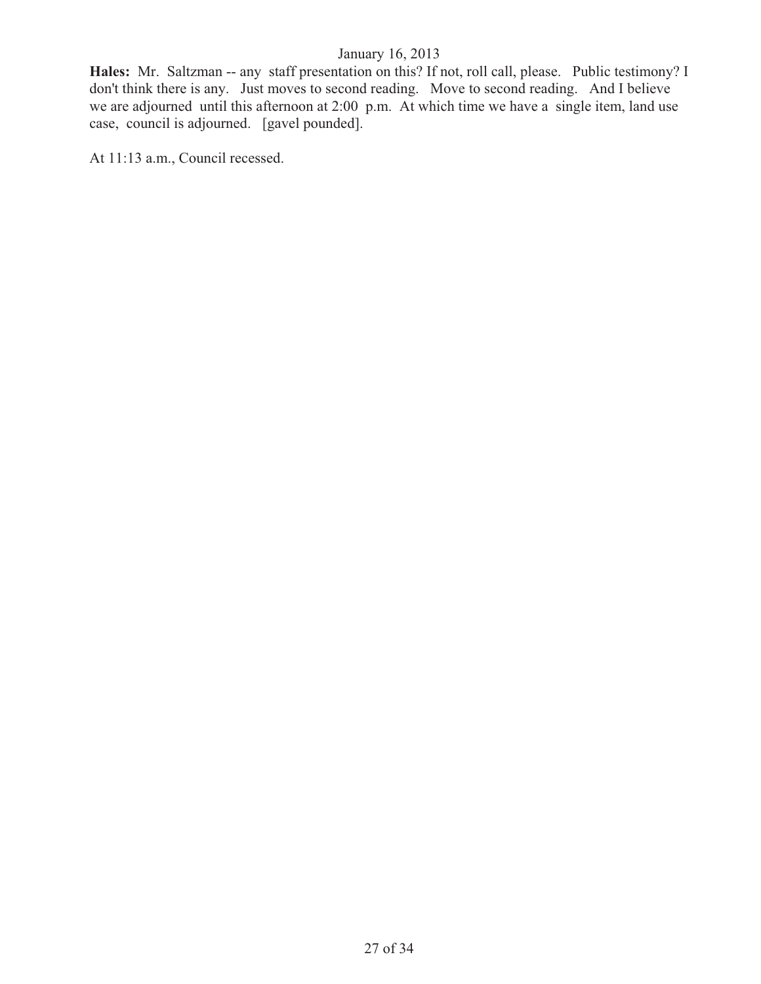**Hales:** Mr. Saltzman -- any staff presentation on this? If not, roll call, please. Public testimony? I don't think there is any. Just moves to second reading. Move to second reading. And I believe we are adjourned until this afternoon at 2:00 p.m. At which time we have a single item, land use case, council is adjourned. [gavel pounded].

At 11:13 a.m., Council recessed.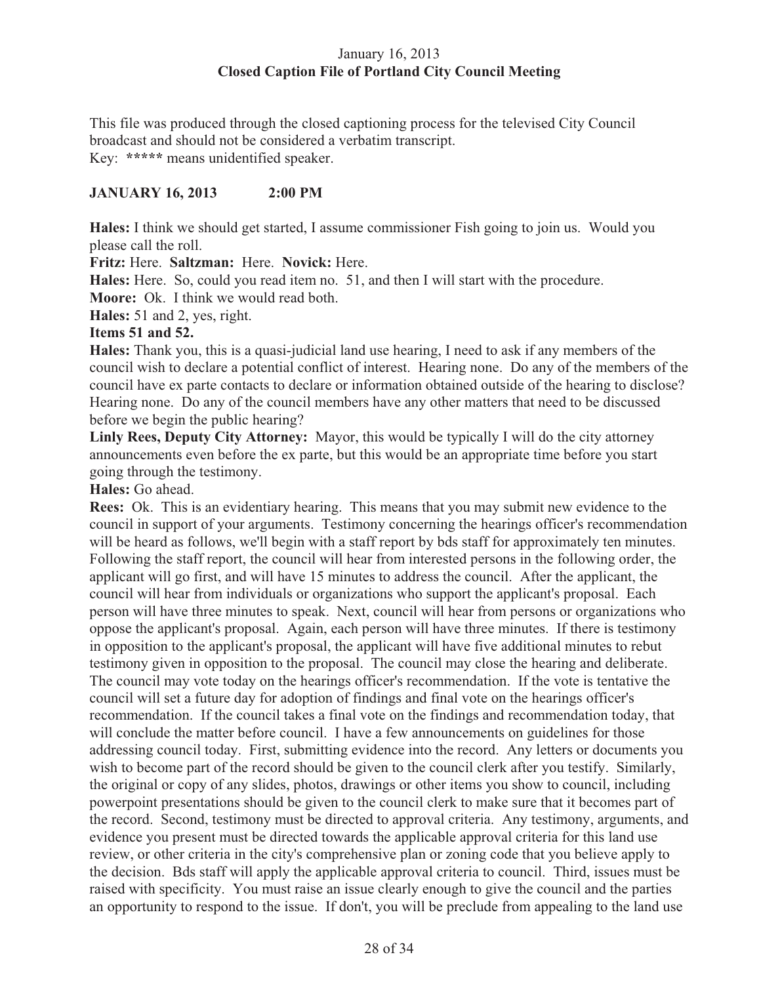# January 16, 2013 **Closed Caption File of Portland City Council Meeting**

This file was produced through the closed captioning process for the televised City Council broadcast and should not be considered a verbatim transcript. Key: **\*\*\*\*\*** means unidentified speaker.

# **JANUARY 16, 2013 2:00 PM**

**Hales:** I think we should get started, I assume commissioner Fish going to join us. Would you please call the roll.

**Fritz:** Here. **Saltzman:** Here. **Novick:** Here.

**Hales:** Here. So, could you read item no. 51, and then I will start with the procedure.

**Moore:** Ok. I think we would read both.

**Hales:** 51 and 2, yes, right.

# **Items 51 and 52.**

**Hales:** Thank you, this is a quasi-judicial land use hearing, I need to ask if any members of the council wish to declare a potential conflict of interest. Hearing none. Do any of the members of the council have ex parte contacts to declare or information obtained outside of the hearing to disclose? Hearing none. Do any of the council members have any other matters that need to be discussed before we begin the public hearing?

**Linly Rees, Deputy City Attorney:** Mayor, this would be typically I will do the city attorney announcements even before the ex parte, but this would be an appropriate time before you start going through the testimony.

# **Hales:** Go ahead.

**Rees:** Ok. This is an evidentiary hearing. This means that you may submit new evidence to the council in support of your arguments. Testimony concerning the hearings officer's recommendation will be heard as follows, we'll begin with a staff report by bds staff for approximately ten minutes. Following the staff report, the council will hear from interested persons in the following order, the applicant will go first, and will have 15 minutes to address the council. After the applicant, the council will hear from individuals or organizations who support the applicant's proposal. Each person will have three minutes to speak. Next, council will hear from persons or organizations who oppose the applicant's proposal. Again, each person will have three minutes. If there is testimony in opposition to the applicant's proposal, the applicant will have five additional minutes to rebut testimony given in opposition to the proposal. The council may close the hearing and deliberate. The council may vote today on the hearings officer's recommendation. If the vote is tentative the council will set a future day for adoption of findings and final vote on the hearings officer's recommendation. If the council takes a final vote on the findings and recommendation today, that will conclude the matter before council. I have a few announcements on guidelines for those addressing council today. First, submitting evidence into the record. Any letters or documents you wish to become part of the record should be given to the council clerk after you testify. Similarly, the original or copy of any slides, photos, drawings or other items you show to council, including powerpoint presentations should be given to the council clerk to make sure that it becomes part of the record. Second, testimony must be directed to approval criteria. Any testimony, arguments, and evidence you present must be directed towards the applicable approval criteria for this land use review, or other criteria in the city's comprehensive plan or zoning code that you believe apply to the decision. Bds staff will apply the applicable approval criteria to council. Third, issues must be raised with specificity. You must raise an issue clearly enough to give the council and the parties an opportunity to respond to the issue. If don't, you will be preclude from appealing to the land use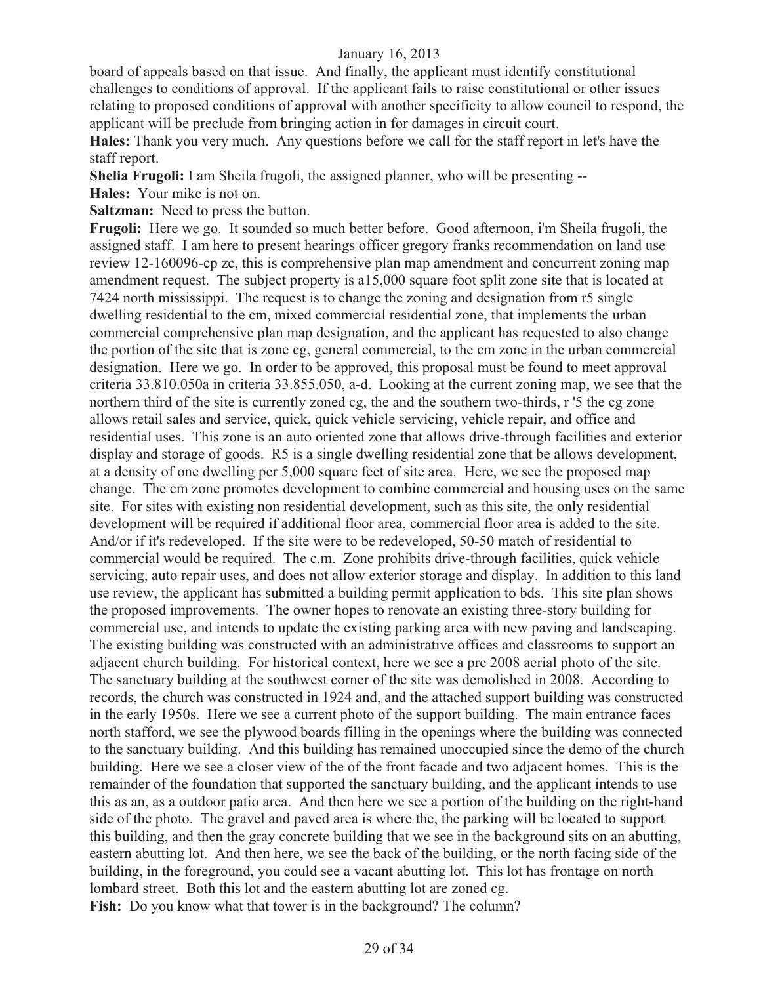board of appeals based on that issue. And finally, the applicant must identify constitutional challenges to conditions of approval. If the applicant fails to raise constitutional or other issues relating to proposed conditions of approval with another specificity to allow council to respond, the applicant will be preclude from bringing action in for damages in circuit court.

**Hales:** Thank you very much. Any questions before we call for the staff report in let's have the staff report.

**Shelia Frugoli:** I am Sheila frugoli, the assigned planner, who will be presenting --

**Hales:** Your mike is not on.

**Saltzman:** Need to press the button.

**Frugoli:** Here we go. It sounded so much better before. Good afternoon, i'm Sheila frugoli, the assigned staff. I am here to present hearings officer gregory franks recommendation on land use review 12-160096-cp zc, this is comprehensive plan map amendment and concurrent zoning map amendment request. The subject property is a15,000 square foot split zone site that is located at 7424 north mississippi. The request is to change the zoning and designation from r5 single dwelling residential to the cm, mixed commercial residential zone, that implements the urban commercial comprehensive plan map designation, and the applicant has requested to also change the portion of the site that is zone cg, general commercial, to the cm zone in the urban commercial designation. Here we go. In order to be approved, this proposal must be found to meet approval criteria 33.810.050a in criteria 33.855.050, a-d. Looking at the current zoning map, we see that the northern third of the site is currently zoned cg, the and the southern two-thirds, r '5 the cg zone allows retail sales and service, quick, quick vehicle servicing, vehicle repair, and office and residential uses. This zone is an auto oriented zone that allows drive-through facilities and exterior display and storage of goods. R5 is a single dwelling residential zone that be allows development, at a density of one dwelling per 5,000 square feet of site area. Here, we see the proposed map change. The cm zone promotes development to combine commercial and housing uses on the same site. For sites with existing non residential development, such as this site, the only residential development will be required if additional floor area, commercial floor area is added to the site. And/or if it's redeveloped. If the site were to be redeveloped, 50-50 match of residential to commercial would be required. The c.m. Zone prohibits drive-through facilities, quick vehicle servicing, auto repair uses, and does not allow exterior storage and display. In addition to this land use review, the applicant has submitted a building permit application to bds. This site plan shows the proposed improvements. The owner hopes to renovate an existing three-story building for commercial use, and intends to update the existing parking area with new paving and landscaping. The existing building was constructed with an administrative offices and classrooms to support an adjacent church building. For historical context, here we see a pre 2008 aerial photo of the site. The sanctuary building at the southwest corner of the site was demolished in 2008. According to records, the church was constructed in 1924 and, and the attached support building was constructed in the early 1950s. Here we see a current photo of the support building. The main entrance faces north stafford, we see the plywood boards filling in the openings where the building was connected to the sanctuary building. And this building has remained unoccupied since the demo of the church building. Here we see a closer view of the of the front facade and two adjacent homes. This is the remainder of the foundation that supported the sanctuary building, and the applicant intends to use this as an, as a outdoor patio area. And then here we see a portion of the building on the right-hand side of the photo. The gravel and paved area is where the, the parking will be located to support this building, and then the gray concrete building that we see in the background sits on an abutting, eastern abutting lot. And then here, we see the back of the building, or the north facing side of the building, in the foreground, you could see a vacant abutting lot. This lot has frontage on north lombard street. Both this lot and the eastern abutting lot are zoned cg. Fish: Do you know what that tower is in the background? The column?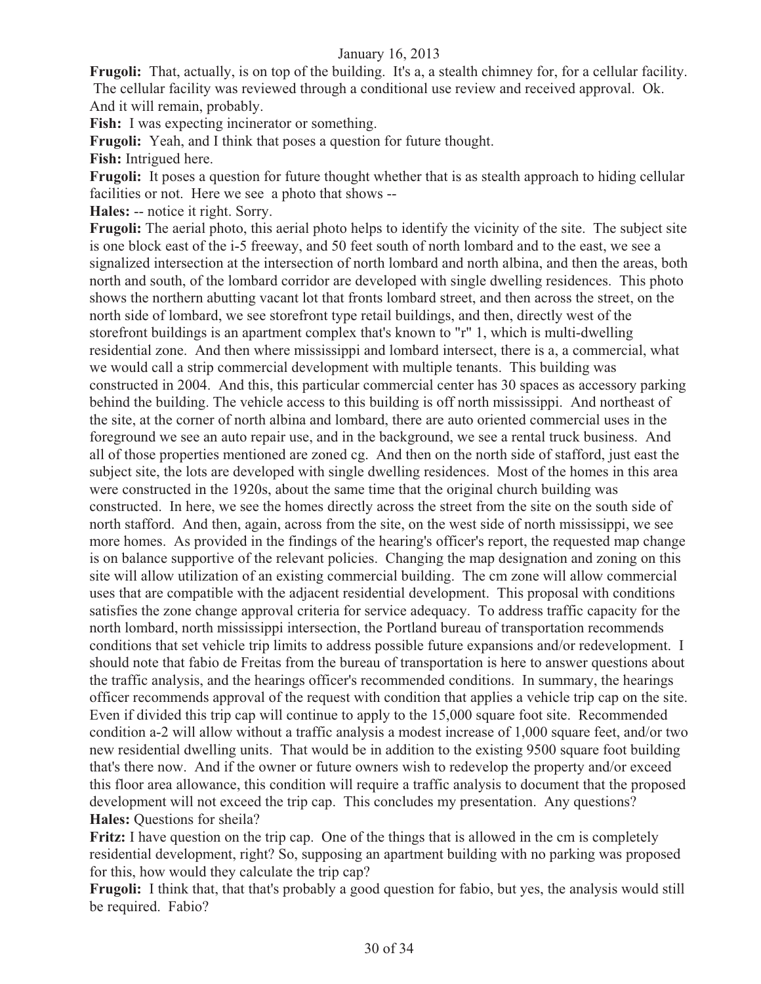**Frugoli:** That, actually, is on top of the building. It's a, a stealth chimney for, for a cellular facility. The cellular facility was reviewed through a conditional use review and received approval. Ok. And it will remain, probably.

**Fish:** I was expecting incinerator or something.

**Frugoli:** Yeah, and I think that poses a question for future thought.

**Fish:** Intrigued here.

**Frugoli:** It poses a question for future thought whether that is as stealth approach to hiding cellular facilities or not. Here we see a photo that shows --

**Hales:** -- notice it right. Sorry.

**Frugoli:** The aerial photo, this aerial photo helps to identify the vicinity of the site. The subject site is one block east of the i-5 freeway, and 50 feet south of north lombard and to the east, we see a signalized intersection at the intersection of north lombard and north albina, and then the areas, both north and south, of the lombard corridor are developed with single dwelling residences. This photo shows the northern abutting vacant lot that fronts lombard street, and then across the street, on the north side of lombard, we see storefront type retail buildings, and then, directly west of the storefront buildings is an apartment complex that's known to "r" 1, which is multi-dwelling residential zone. And then where mississippi and lombard intersect, there is a, a commercial, what we would call a strip commercial development with multiple tenants. This building was constructed in 2004. And this, this particular commercial center has 30 spaces as accessory parking behind the building. The vehicle access to this building is off north mississippi. And northeast of the site, at the corner of north albina and lombard, there are auto oriented commercial uses in the foreground we see an auto repair use, and in the background, we see a rental truck business. And all of those properties mentioned are zoned cg. And then on the north side of stafford, just east the subject site, the lots are developed with single dwelling residences. Most of the homes in this area were constructed in the 1920s, about the same time that the original church building was constructed. In here, we see the homes directly across the street from the site on the south side of north stafford. And then, again, across from the site, on the west side of north mississippi, we see more homes. As provided in the findings of the hearing's officer's report, the requested map change is on balance supportive of the relevant policies. Changing the map designation and zoning on this site will allow utilization of an existing commercial building. The cm zone will allow commercial uses that are compatible with the adjacent residential development. This proposal with conditions satisfies the zone change approval criteria for service adequacy. To address traffic capacity for the north lombard, north mississippi intersection, the Portland bureau of transportation recommends conditions that set vehicle trip limits to address possible future expansions and/or redevelopment. I should note that fabio de Freitas from the bureau of transportation is here to answer questions about the traffic analysis, and the hearings officer's recommended conditions. In summary, the hearings officer recommends approval of the request with condition that applies a vehicle trip cap on the site. Even if divided this trip cap will continue to apply to the 15,000 square foot site. Recommended condition a-2 will allow without a traffic analysis a modest increase of 1,000 square feet, and/or two new residential dwelling units. That would be in addition to the existing 9500 square foot building that's there now. And if the owner or future owners wish to redevelop the property and/or exceed this floor area allowance, this condition will require a traffic analysis to document that the proposed development will not exceed the trip cap. This concludes my presentation. Any questions? **Hales:** Questions for sheila?

**Fritz:** I have question on the trip cap. One of the things that is allowed in the cm is completely residential development, right? So, supposing an apartment building with no parking was proposed for this, how would they calculate the trip cap?

**Frugoli:** I think that, that that's probably a good question for fabio, but yes, the analysis would still be required. Fabio?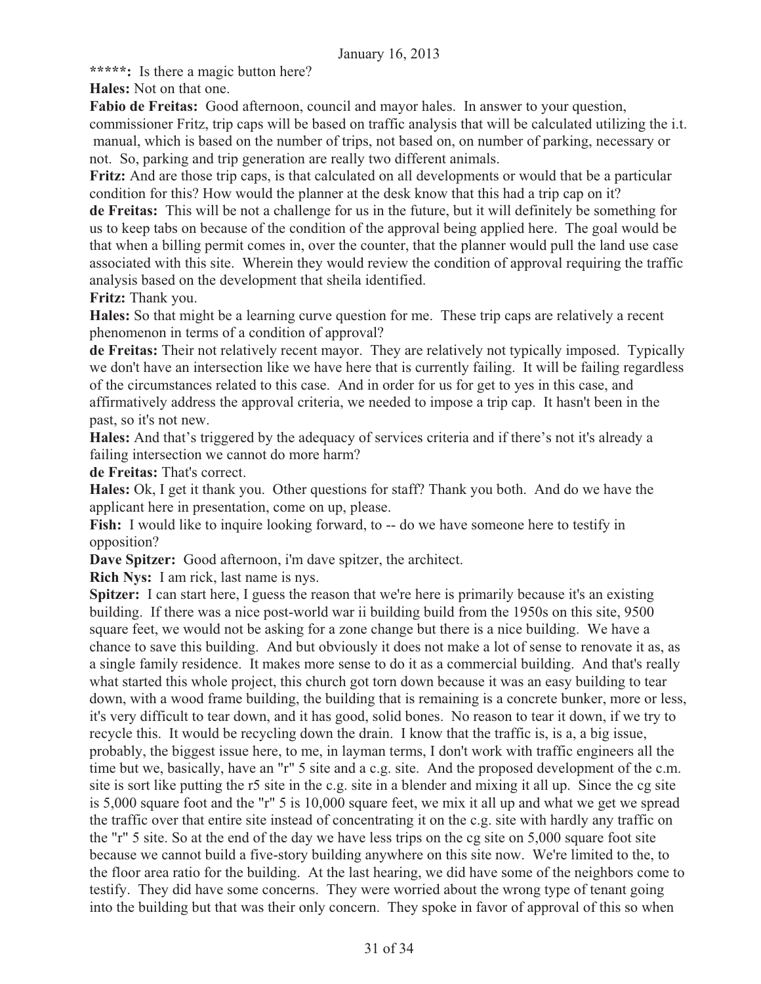**\*\*\*\*\*:** Is there a magic button here?

**Hales:** Not on that one.

**Fabio de Freitas:** Good afternoon, council and mayor hales. In answer to your question, commissioner Fritz, trip caps will be based on traffic analysis that will be calculated utilizing the i.t. manual, which is based on the number of trips, not based on, on number of parking, necessary or not. So, parking and trip generation are really two different animals.

**Fritz:** And are those trip caps, is that calculated on all developments or would that be a particular condition for this? How would the planner at the desk know that this had a trip cap on it?

**de Freitas:** This will be not a challenge for us in the future, but it will definitely be something for us to keep tabs on because of the condition of the approval being applied here. The goal would be that when a billing permit comes in, over the counter, that the planner would pull the land use case associated with this site. Wherein they would review the condition of approval requiring the traffic analysis based on the development that sheila identified.

**Fritz:** Thank you.

**Hales:** So that might be a learning curve question for me. These trip caps are relatively a recent phenomenon in terms of a condition of approval?

**de Freitas:** Their not relatively recent mayor. They are relatively not typically imposed. Typically we don't have an intersection like we have here that is currently failing. It will be failing regardless of the circumstances related to this case. And in order for us for get to yes in this case, and affirmatively address the approval criteria, we needed to impose a trip cap. It hasn't been in the past, so it's not new.

**Hales:** And that's triggered by the adequacy of services criteria and if there's not it's already a failing intersection we cannot do more harm?

**de Freitas:** That's correct.

**Hales:** Ok, I get it thank you. Other questions for staff? Thank you both. And do we have the applicant here in presentation, come on up, please.

Fish: I would like to inquire looking forward, to -- do we have someone here to testify in opposition?

**Dave Spitzer:** Good afternoon, i'm dave spitzer, the architect.

**Rich Nys:** I am rick, last name is nys.

**Spitzer:** I can start here, I guess the reason that we're here is primarily because it's an existing building. If there was a nice post-world war ii building build from the 1950s on this site, 9500 square feet, we would not be asking for a zone change but there is a nice building. We have a chance to save this building. And but obviously it does not make a lot of sense to renovate it as, as a single family residence. It makes more sense to do it as a commercial building. And that's really what started this whole project, this church got torn down because it was an easy building to tear down, with a wood frame building, the building that is remaining is a concrete bunker, more or less, it's very difficult to tear down, and it has good, solid bones. No reason to tear it down, if we try to recycle this. It would be recycling down the drain. I know that the traffic is, is a, a big issue, probably, the biggest issue here, to me, in layman terms, I don't work with traffic engineers all the time but we, basically, have an "r" 5 site and a c.g. site. And the proposed development of the c.m. site is sort like putting the r5 site in the c.g. site in a blender and mixing it all up. Since the cg site is 5,000 square foot and the "r" 5 is 10,000 square feet, we mix it all up and what we get we spread the traffic over that entire site instead of concentrating it on the c.g. site with hardly any traffic on the "r" 5 site. So at the end of the day we have less trips on the cg site on 5,000 square foot site because we cannot build a five-story building anywhere on this site now. We're limited to the, to the floor area ratio for the building. At the last hearing, we did have some of the neighbors come to testify. They did have some concerns. They were worried about the wrong type of tenant going into the building but that was their only concern. They spoke in favor of approval of this so when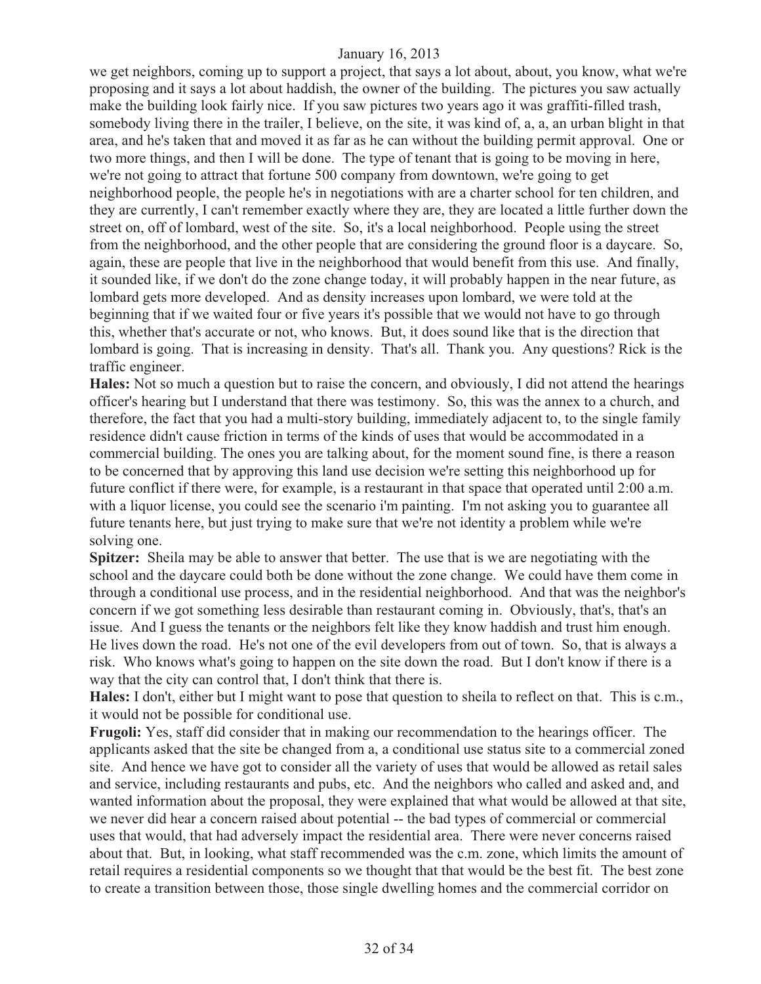we get neighbors, coming up to support a project, that says a lot about, about, you know, what we're proposing and it says a lot about haddish, the owner of the building. The pictures you saw actually make the building look fairly nice. If you saw pictures two years ago it was graffiti-filled trash, somebody living there in the trailer, I believe, on the site, it was kind of, a, a, an urban blight in that area, and he's taken that and moved it as far as he can without the building permit approval. One or two more things, and then I will be done. The type of tenant that is going to be moving in here, we're not going to attract that fortune 500 company from downtown, we're going to get neighborhood people, the people he's in negotiations with are a charter school for ten children, and they are currently, I can't remember exactly where they are, they are located a little further down the street on, off of lombard, west of the site. So, it's a local neighborhood. People using the street from the neighborhood, and the other people that are considering the ground floor is a daycare. So, again, these are people that live in the neighborhood that would benefit from this use. And finally, it sounded like, if we don't do the zone change today, it will probably happen in the near future, as lombard gets more developed. And as density increases upon lombard, we were told at the beginning that if we waited four or five years it's possible that we would not have to go through this, whether that's accurate or not, who knows. But, it does sound like that is the direction that lombard is going. That is increasing in density. That's all. Thank you. Any questions? Rick is the traffic engineer.

**Hales:** Not so much a question but to raise the concern, and obviously, I did not attend the hearings officer's hearing but I understand that there was testimony. So, this was the annex to a church, and therefore, the fact that you had a multi-story building, immediately adjacent to, to the single family residence didn't cause friction in terms of the kinds of uses that would be accommodated in a commercial building. The ones you are talking about, for the moment sound fine, is there a reason to be concerned that by approving this land use decision we're setting this neighborhood up for future conflict if there were, for example, is a restaurant in that space that operated until 2:00 a.m. with a liquor license, you could see the scenario i'm painting. I'm not asking you to guarantee all future tenants here, but just trying to make sure that we're not identity a problem while we're solving one.

**Spitzer:** Sheila may be able to answer that better. The use that is we are negotiating with the school and the daycare could both be done without the zone change. We could have them come in through a conditional use process, and in the residential neighborhood. And that was the neighbor's concern if we got something less desirable than restaurant coming in. Obviously, that's, that's an issue. And I guess the tenants or the neighbors felt like they know haddish and trust him enough. He lives down the road. He's not one of the evil developers from out of town. So, that is always a risk. Who knows what's going to happen on the site down the road. But I don't know if there is a way that the city can control that, I don't think that there is.

**Hales:** I don't, either but I might want to pose that question to sheila to reflect on that. This is c.m., it would not be possible for conditional use.

**Frugoli:** Yes, staff did consider that in making our recommendation to the hearings officer. The applicants asked that the site be changed from a, a conditional use status site to a commercial zoned site. And hence we have got to consider all the variety of uses that would be allowed as retail sales and service, including restaurants and pubs, etc. And the neighbors who called and asked and, and wanted information about the proposal, they were explained that what would be allowed at that site, we never did hear a concern raised about potential -- the bad types of commercial or commercial uses that would, that had adversely impact the residential area. There were never concerns raised about that. But, in looking, what staff recommended was the c.m. zone, which limits the amount of retail requires a residential components so we thought that that would be the best fit. The best zone to create a transition between those, those single dwelling homes and the commercial corridor on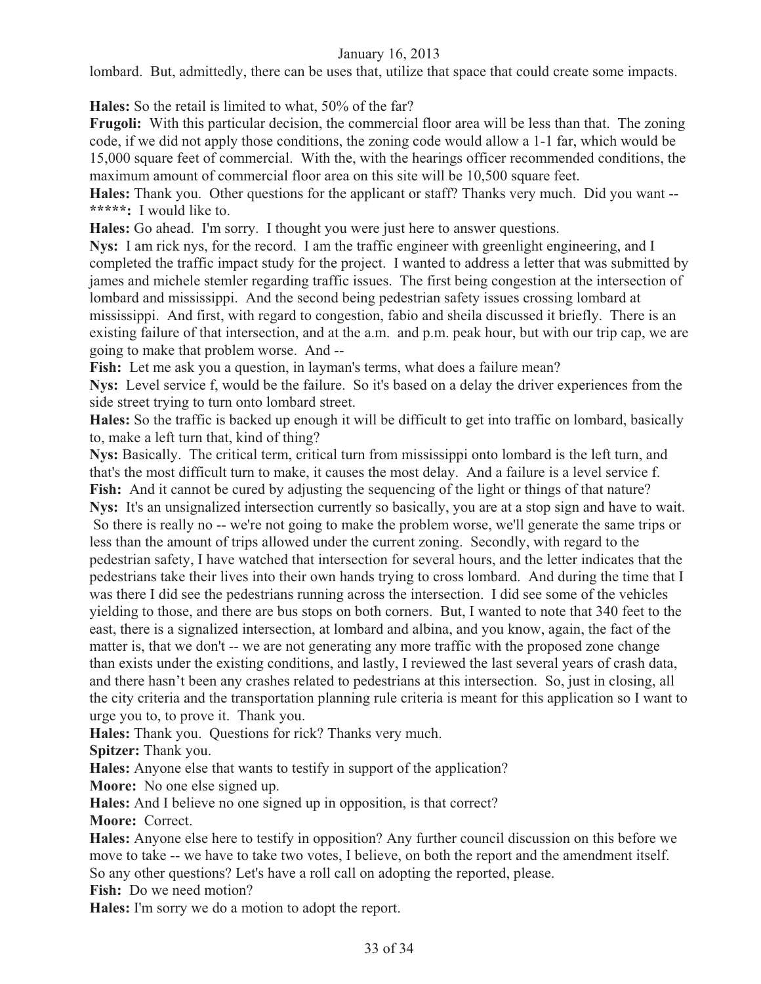lombard. But, admittedly, there can be uses that, utilize that space that could create some impacts.

**Hales:** So the retail is limited to what, 50% of the far?

**Frugoli:** With this particular decision, the commercial floor area will be less than that. The zoning code, if we did not apply those conditions, the zoning code would allow a 1-1 far, which would be 15,000 square feet of commercial. With the, with the hearings officer recommended conditions, the maximum amount of commercial floor area on this site will be 10,500 square feet.

**Hales:** Thank you. Other questions for the applicant or staff? Thanks very much. Did you want -- **\*\*\*\*\*:** I would like to.

**Hales:** Go ahead. I'm sorry. I thought you were just here to answer questions.

**Nys:** I am rick nys, for the record. I am the traffic engineer with greenlight engineering, and I completed the traffic impact study for the project. I wanted to address a letter that was submitted by james and michele stemler regarding traffic issues. The first being congestion at the intersection of lombard and mississippi. And the second being pedestrian safety issues crossing lombard at mississippi. And first, with regard to congestion, fabio and sheila discussed it briefly. There is an existing failure of that intersection, and at the a.m. and p.m. peak hour, but with our trip cap, we are going to make that problem worse. And --

Fish: Let me ask you a question, in layman's terms, what does a failure mean?

**Nys:** Level service f, would be the failure. So it's based on a delay the driver experiences from the side street trying to turn onto lombard street.

**Hales:** So the traffic is backed up enough it will be difficult to get into traffic on lombard, basically to, make a left turn that, kind of thing?

**Nys:** Basically. The critical term, critical turn from mississippi onto lombard is the left turn, and that's the most difficult turn to make, it causes the most delay. And a failure is a level service f. Fish: And it cannot be cured by adjusting the sequencing of the light or things of that nature?

**Nys:** It's an unsignalized intersection currently so basically, you are at a stop sign and have to wait. So there is really no -- we're not going to make the problem worse, we'll generate the same trips or less than the amount of trips allowed under the current zoning. Secondly, with regard to the pedestrian safety, I have watched that intersection for several hours, and the letter indicates that the pedestrians take their lives into their own hands trying to cross lombard. And during the time that I was there I did see the pedestrians running across the intersection. I did see some of the vehicles yielding to those, and there are bus stops on both corners. But, I wanted to note that 340 feet to the east, there is a signalized intersection, at lombard and albina, and you know, again, the fact of the matter is, that we don't -- we are not generating any more traffic with the proposed zone change than exists under the existing conditions, and lastly, I reviewed the last several years of crash data, and there hasn't been any crashes related to pedestrians at this intersection. So, just in closing, all the city criteria and the transportation planning rule criteria is meant for this application so I want to urge you to, to prove it. Thank you.

**Hales:** Thank you. Questions for rick? Thanks very much.

**Spitzer:** Thank you.

**Hales:** Anyone else that wants to testify in support of the application?

**Moore:** No one else signed up.

**Hales:** And I believe no one signed up in opposition, is that correct?

**Moore:** Correct.

**Hales:** Anyone else here to testify in opposition? Any further council discussion on this before we move to take -- we have to take two votes, I believe, on both the report and the amendment itself. So any other questions? Let's have a roll call on adopting the reported, please.

**Fish:** Do we need motion?

**Hales:** I'm sorry we do a motion to adopt the report.